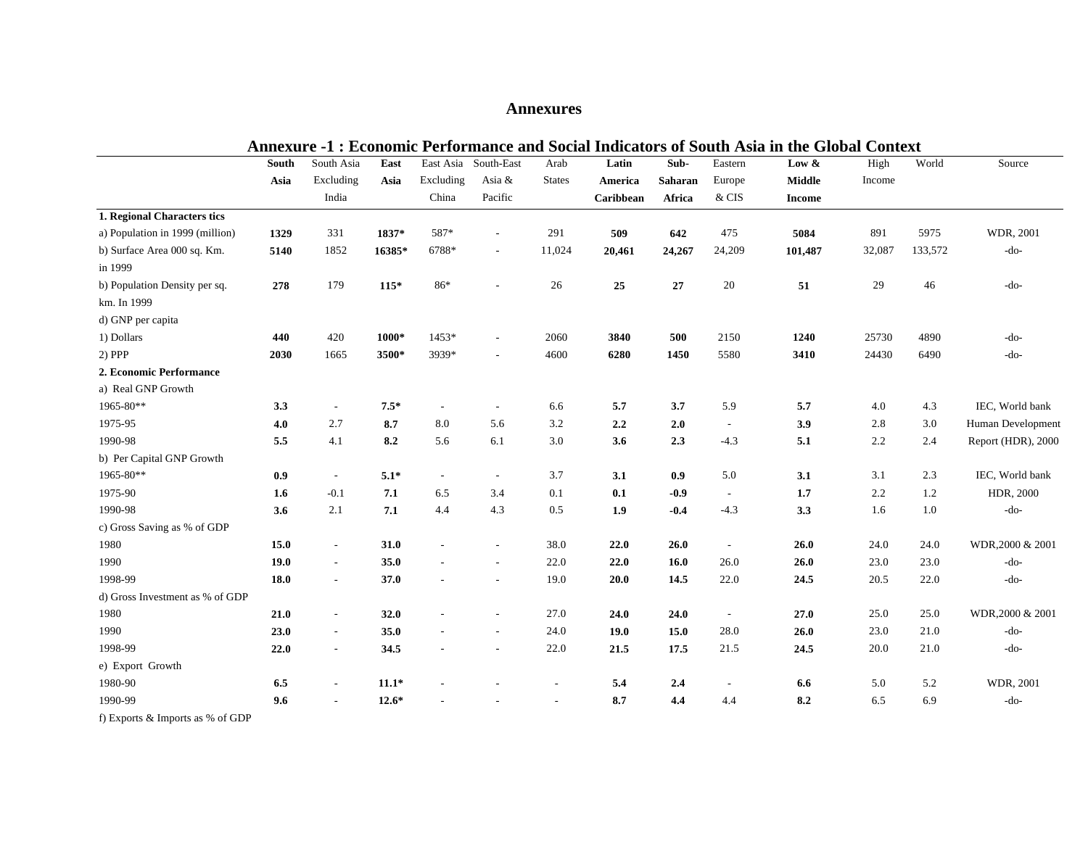# **Annexures**

| <b>Annexure -1: Economic Performance and Social Indicators of South Asia in the Global Context</b> |       |                          |         |                          |                          |                          |           |         |                          |               |         |         |                    |
|----------------------------------------------------------------------------------------------------|-------|--------------------------|---------|--------------------------|--------------------------|--------------------------|-----------|---------|--------------------------|---------------|---------|---------|--------------------|
|                                                                                                    | South | South Asia               | East    | East Asia                | South-East               | Arab                     | Latin     | Sub-    | Eastern                  | Low $\&$      | High    | World   | Source             |
|                                                                                                    | Asia  | Excluding                | Asia    | Excluding                | Asia &                   | <b>States</b>            | America   | Saharan | Europe                   | <b>Middle</b> | Income  |         |                    |
|                                                                                                    |       | India                    |         | China                    | Pacific                  |                          | Caribbean | Africa  | $\&$ CIS                 | <b>Income</b> |         |         |                    |
| 1. Regional Characters tics                                                                        |       |                          |         |                          |                          |                          |           |         |                          |               |         |         |                    |
| a) Population in 1999 (million)                                                                    | 1329  | 331                      | 1837*   | 587*                     | $\overline{\phantom{a}}$ | 291                      | 509       | 642     | 475                      | 5084          | 891     | 5975    | WDR, 2001          |
| b) Surface Area 000 sq. Km.                                                                        | 5140  | 1852                     | 16385*  | 6788*                    | $\sim$                   | 11,024                   | 20,461    | 24,267  | 24,209                   | 101,487       | 32,087  | 133,572 | -do-               |
| in 1999                                                                                            |       |                          |         |                          |                          |                          |           |         |                          |               |         |         |                    |
| b) Population Density per sq.                                                                      | 278   | 179                      | $115*$  | 86*                      |                          | 26                       | 25        | 27      | 20                       | 51            | 29      | 46      | $-do-$             |
| km. In 1999                                                                                        |       |                          |         |                          |                          |                          |           |         |                          |               |         |         |                    |
| d) GNP per capita                                                                                  |       |                          |         |                          |                          |                          |           |         |                          |               |         |         |                    |
| 1) Dollars                                                                                         | 440   | 420                      | 1000*   | 1453*                    | $\overline{\phantom{a}}$ | 2060                     | 3840      | 500     | 2150                     | 1240          | 25730   | 4890    | $-do-$             |
| $2)$ PPP                                                                                           | 2030  | 1665                     | 3500*   | 3939*                    |                          | 4600                     | 6280      | 1450    | 5580                     | 3410          | 24430   | 6490    | $-do-$             |
| 2. Economic Performance                                                                            |       |                          |         |                          |                          |                          |           |         |                          |               |         |         |                    |
| a) Real GNP Growth                                                                                 |       |                          |         |                          |                          |                          |           |         |                          |               |         |         |                    |
| 1965-80**                                                                                          | 3.3   | $\overline{\phantom{a}}$ | $7.5*$  | $\overline{\phantom{a}}$ | $\sim$                   | 6.6                      | 5.7       | 3.7     | 5.9                      | 5.7           | 4.0     | 4.3     | IEC, World bank    |
| 1975-95                                                                                            | 4.0   | 2.7                      | 8.7     | 8.0                      | 5.6                      | 3.2                      | 2.2       | 2.0     | $\overline{\phantom{a}}$ | 3.9           | 2.8     | 3.0     | Human Development  |
| 1990-98                                                                                            | 5.5   | 4.1                      | 8.2     | 5.6                      | 6.1                      | 3.0                      | 3.6       | 2.3     | $-4.3$                   | 5.1           | $2.2\,$ | 2.4     | Report (HDR), 2000 |
| b) Per Capital GNP Growth                                                                          |       |                          |         |                          |                          |                          |           |         |                          |               |         |         |                    |
| 1965-80**                                                                                          | 0.9   | $\overline{\phantom{a}}$ | $5.1*$  | $\sim$                   | $\sim$                   | 3.7                      | 3.1       | 0.9     | 5.0                      | 3.1           | 3.1     | 2.3     | IEC, World bank    |
| 1975-90                                                                                            | 1.6   | $-0.1$                   | 7.1     | 6.5                      | 3.4                      | 0.1                      | 0.1       | $-0.9$  | $\sim$                   | 1.7           | 2.2     | 1.2     | HDR, 2000          |
| 1990-98                                                                                            | 3.6   | 2.1                      | 7.1     | 4.4                      | 4.3                      | 0.5                      | 1.9       | $-0.4$  | $-4.3$                   | 3.3           | 1.6     | $1.0\,$ | $-do-$             |
| c) Gross Saving as % of GDP                                                                        |       |                          |         |                          |                          |                          |           |         |                          |               |         |         |                    |
| 1980                                                                                               | 15.0  | $\sim$                   | 31.0    | $\overline{\phantom{a}}$ | $\overline{\phantom{a}}$ | 38.0                     | 22.0      | 26.0    | $\overline{\phantom{a}}$ | 26.0          | 24.0    | 24.0    | WDR, 2000 & 2001   |
| 1990                                                                                               | 19.0  | $\overline{\phantom{a}}$ | 35.0    |                          | $\overline{a}$           | 22.0                     | 22.0      | 16.0    | 26.0                     | 26.0          | 23.0    | 23.0    | $-do-$             |
| 1998-99                                                                                            | 18.0  | $\overline{\phantom{a}}$ | 37.0    |                          | $\overline{\phantom{a}}$ | 19.0                     | 20.0      | 14.5    | 22.0                     | 24.5          | 20.5    | 22.0    | $-do-$             |
| d) Gross Investment as % of GDP                                                                    |       |                          |         |                          |                          |                          |           |         |                          |               |         |         |                    |
| 1980                                                                                               | 21.0  | $\overline{\phantom{a}}$ | 32.0    |                          | $\overline{\phantom{a}}$ | 27.0                     | 24.0      | 24.0    | $\overline{a}$           | 27.0          | 25.0    | 25.0    | WDR, 2000 & 2001   |
| 1990                                                                                               | 23.0  | $\overline{\phantom{a}}$ | 35.0    | $\sim$                   | $\sim$                   | 24.0                     | 19.0      | 15.0    | 28.0                     | 26.0          | 23.0    | 21.0    | $-do-$             |
| 1998-99                                                                                            | 22.0  | $\overline{\phantom{a}}$ | 34.5    |                          |                          | 22.0                     | 21.5      | 17.5    | 21.5                     | 24.5          | 20.0    | 21.0    | -do-               |
| e) Export Growth                                                                                   |       |                          |         |                          |                          |                          |           |         |                          |               |         |         |                    |
| 1980-90                                                                                            | 6.5   | $\overline{\phantom{a}}$ | $11.1*$ |                          |                          | $\overline{\phantom{a}}$ | 5.4       | 2.4     | $\overline{\phantom{a}}$ | 6.6           | 5.0     | 5.2     | WDR, 2001          |
| 1990-99                                                                                            | 9.6   | $\overline{\phantom{a}}$ | $12.6*$ |                          |                          |                          | 8.7       | 4.4     | 4.4                      | 8.2           | 6.5     | 6.9     | $-do-$             |
| 0 <sup>2</sup><br>$\alpha$ cann                                                                    |       |                          |         |                          |                          |                          |           |         |                          |               |         |         |                    |

f) Exports & Imports as % of GDP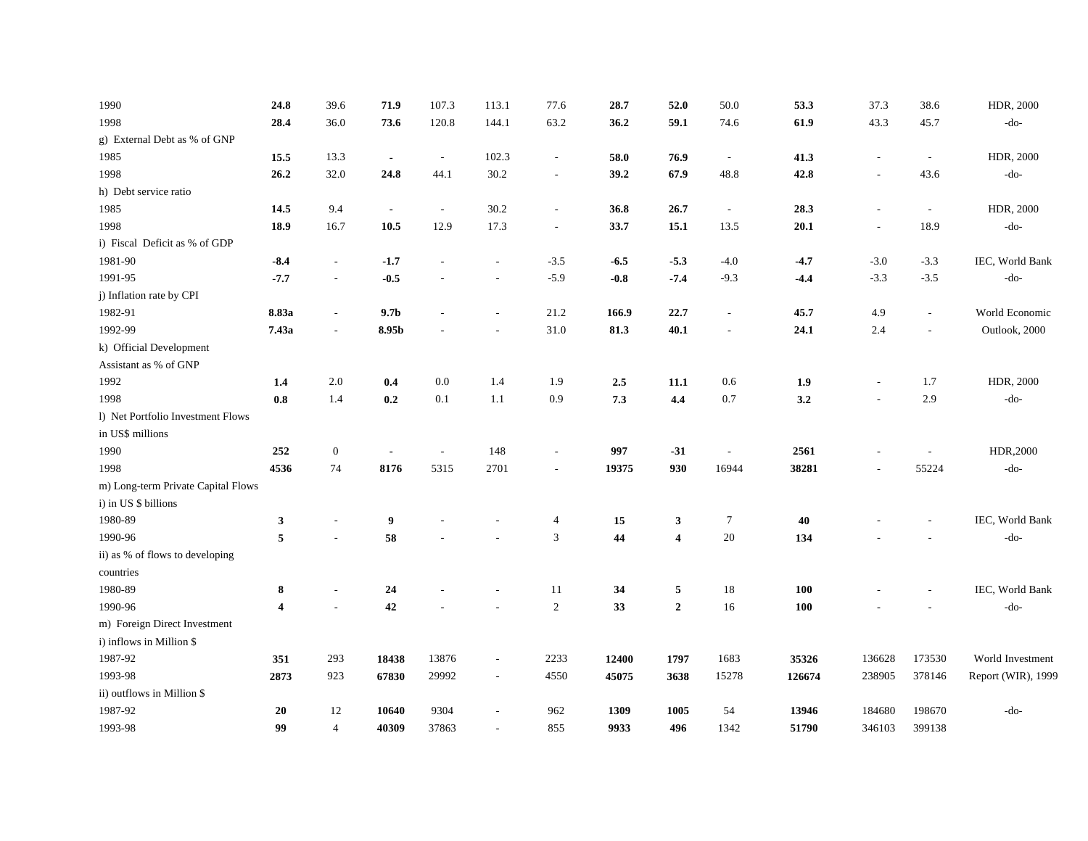| 1990                               | 24.8                    | 39.6                     | 71.9             | 107.3                    | 113.1                    | 77.6                     | 28.7   | 52.0                    | 50.0                     | 53.3   | 37.3   | 38.6                     | HDR, 2000          |
|------------------------------------|-------------------------|--------------------------|------------------|--------------------------|--------------------------|--------------------------|--------|-------------------------|--------------------------|--------|--------|--------------------------|--------------------|
| 1998                               | 28.4                    | 36.0                     | 73.6             | 120.8                    | 144.1                    | 63.2                     | 36.2   | 59.1                    | 74.6                     | 61.9   | 43.3   | 45.7                     | $-do-$             |
| g) External Debt as % of GNP       |                         |                          |                  |                          |                          |                          |        |                         |                          |        |        |                          |                    |
| 1985                               | 15.5                    | 13.3                     | $\blacksquare$   | $\overline{\phantom{a}}$ | 102.3                    | $\overline{\phantom{a}}$ | 58.0   | 76.9                    | $\overline{\phantom{a}}$ | 41.3   |        | $\overline{\phantom{a}}$ | HDR, 2000          |
| 1998                               | 26.2                    | 32.0                     | 24.8             | 44.1                     | 30.2                     |                          | 39.2   | 67.9                    | 48.8                     | 42.8   |        | 43.6                     | $-do-$             |
| h) Debt service ratio              |                         |                          |                  |                          |                          |                          |        |                         |                          |        |        |                          |                    |
| 1985                               | 14.5                    | 9.4                      | $\blacksquare$   | $\sim$                   | 30.2                     | $\overline{\phantom{a}}$ | 36.8   | 26.7                    | $\sim$                   | 28.3   |        | $\overline{\phantom{a}}$ | HDR, 2000          |
| 1998                               | 18.9                    | 16.7                     | 10.5             | 12.9                     | 17.3                     | $\overline{\phantom{a}}$ | 33.7   | 15.1                    | 13.5                     | 20.1   |        | 18.9                     | $-do-$             |
| i) Fiscal Deficit as % of GDP      |                         |                          |                  |                          |                          |                          |        |                         |                          |        |        |                          |                    |
| 1981-90                            | $-8.4$                  | $\sim$                   | $-1.7$           | $\overline{a}$           | $\overline{a}$           | $-3.5$                   | $-6.5$ | $-5.3$                  | $-4.0$                   | $-4.7$ | $-3.0$ | $-3.3$                   | IEC, World Bank    |
| 1991-95                            | $-7.7$                  | $\overline{\phantom{a}}$ | $-0.5$           |                          | $\overline{a}$           | $-5.9$                   | $-0.8$ | $-7.4$                  | $-9.3$                   | $-4.4$ | $-3.3$ | $-3.5$                   | $-do-$             |
| j) Inflation rate by CPI           |                         |                          |                  |                          |                          |                          |        |                         |                          |        |        |                          |                    |
| 1982-91                            | 8.83a                   | $\sim$                   | 9.7 <sub>b</sub> |                          | $\overline{a}$           | 21.2                     | 166.9  | 22.7                    | $\sim$                   | 45.7   | 4.9    | $\sim$                   | World Economic     |
| 1992-99                            | 7.43a                   | $\overline{\phantom{a}}$ | 8.95b            |                          | ۰                        | 31.0                     | 81.3   | 40.1                    | $\overline{a}$           | 24.1   | 2.4    | $\overline{\phantom{a}}$ | Outlook, 2000      |
| k) Official Development            |                         |                          |                  |                          |                          |                          |        |                         |                          |        |        |                          |                    |
| Assistant as % of GNP              |                         |                          |                  |                          |                          |                          |        |                         |                          |        |        |                          |                    |
| 1992                               | 1.4                     | 2.0                      | 0.4              | 0.0                      | 1.4                      | 1.9                      | 2.5    | 11.1                    | 0.6                      | 1.9    |        | 1.7                      | HDR, 2000          |
| 1998                               | 0.8                     | 1.4                      | 0.2              | 0.1                      | 1.1                      | 0.9                      | 7.3    | 4.4                     | 0.7                      | 3.2    |        | 2.9                      | $-do-$             |
| 1) Net Portfolio Investment Flows  |                         |                          |                  |                          |                          |                          |        |                         |                          |        |        |                          |                    |
| in US\$ millions                   |                         |                          |                  |                          |                          |                          |        |                         |                          |        |        |                          |                    |
| 1990                               | 252                     | $\boldsymbol{0}$         |                  | $\overline{a}$           | 148                      | $\overline{\phantom{a}}$ | 997    | $-31$                   | $\overline{\phantom{a}}$ | 2561   |        |                          | HDR,2000           |
| 1998                               | 4536                    | 74                       | 8176             | 5315                     | 2701                     | $\overline{\phantom{a}}$ | 19375  | 930                     | 16944                    | 38281  |        | 55224                    | $-do-$             |
| m) Long-term Private Capital Flows |                         |                          |                  |                          |                          |                          |        |                         |                          |        |        |                          |                    |
| i) in US \$ billions               |                         |                          |                  |                          |                          |                          |        |                         |                          |        |        |                          |                    |
| 1980-89                            | 3                       |                          | $\boldsymbol{9}$ |                          |                          | $\overline{4}$           | 15     | 3                       | $\overline{7}$           | 40     |        |                          | IEC, World Bank    |
| 1990-96                            | 5                       | $\overline{a}$           | 58               |                          |                          | 3                        | 44     | $\overline{\mathbf{4}}$ | $20\,$                   | 134    |        |                          | $-do-$             |
| ii) as % of flows to developing    |                         |                          |                  |                          |                          |                          |        |                         |                          |        |        |                          |                    |
| countries                          |                         |                          |                  |                          |                          |                          |        |                         |                          |        |        |                          |                    |
| 1980-89                            | 8                       | $\overline{\phantom{a}}$ | 24               |                          |                          | 11                       | 34     | 5                       | 18                       | 100    |        |                          | IEC, World Bank    |
| 1990-96                            | $\overline{\mathbf{4}}$ | $\overline{a}$           | 42               |                          |                          | $\sqrt{2}$               | 33     | $\overline{2}$          | 16                       | 100    |        |                          | $-do-$             |
| m) Foreign Direct Investment       |                         |                          |                  |                          |                          |                          |        |                         |                          |        |        |                          |                    |
| i) inflows in Million \$           |                         |                          |                  |                          |                          |                          |        |                         |                          |        |        |                          |                    |
| 1987-92                            | 351                     | 293                      | 18438            | 13876                    | $\overline{a}$           | 2233                     | 12400  | 1797                    | 1683                     | 35326  | 136628 | 173530                   | World Investment   |
| 1993-98                            | 2873                    | 923                      | 67830            | 29992                    | $\sim$                   | 4550                     | 45075  | 3638                    | 15278                    | 126674 | 238905 | 378146                   | Report (WIR), 1999 |
| ii) outflows in Million \$         |                         |                          |                  |                          |                          |                          |        |                         |                          |        |        |                          |                    |
| 1987-92                            | 20                      | 12                       | 10640            | 9304                     | $\overline{\phantom{a}}$ | 962                      | 1309   | 1005                    | 54                       | 13946  | 184680 | 198670                   | $-do-$             |
| 1993-98                            | 99                      | $\overline{4}$           | 40309            | 37863                    | $\overline{a}$           | 855                      | 9933   | 496                     | 1342                     | 51790  | 346103 | 399138                   |                    |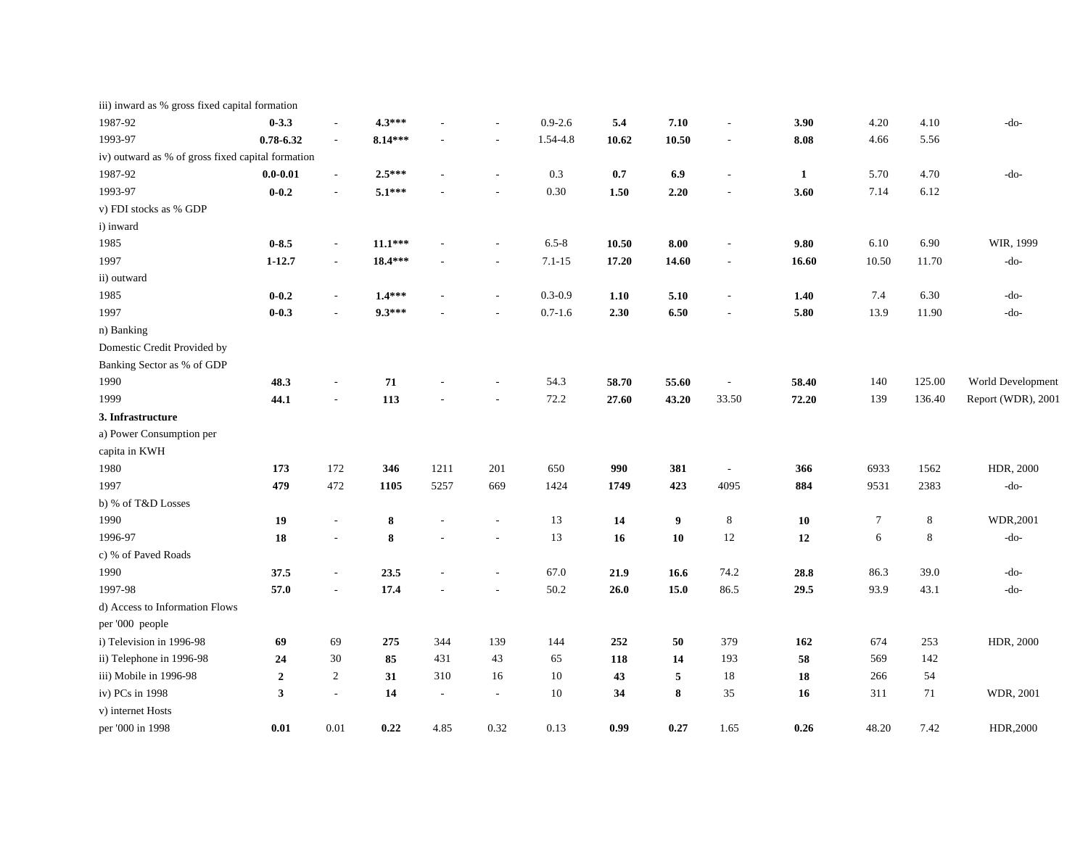| iii) inward as % gross fixed capital formation    |                  |                          |           |        |                          |             |       |       |                          |              |                |         |                    |
|---------------------------------------------------|------------------|--------------------------|-----------|--------|--------------------------|-------------|-------|-------|--------------------------|--------------|----------------|---------|--------------------|
| 1987-92                                           | $0 - 3.3$        | $\sim$                   | $4.3***$  |        | $\overline{\phantom{a}}$ | $0.9 - 2.6$ | 5.4   | 7.10  | $\overline{\phantom{a}}$ | 3.90         | 4.20           | 4.10    | -do-               |
| 1993-97                                           | $0.78 - 6.32$    | $\sim$                   | $8.14***$ |        | $\overline{\phantom{a}}$ | 1.54-4.8    | 10.62 | 10.50 | $\overline{a}$           | 8.08         | 4.66           | 5.56    |                    |
| iv) outward as % of gross fixed capital formation |                  |                          |           |        |                          |             |       |       |                          |              |                |         |                    |
| 1987-92                                           | $0.0 - 0.01$     | $\blacksquare$           | $2.5***$  |        | $\overline{a}$           | 0.3         | 0.7   | 6.9   | $\overline{\phantom{a}}$ | $\mathbf{1}$ | 5.70           | 4.70    | -do-               |
| 1993-97                                           | $0 - 0.2$        | $\sim$                   | $5.1***$  |        |                          | 0.30        | 1.50  | 2.20  | $\overline{\phantom{a}}$ | 3.60         | 7.14           | 6.12    |                    |
| v) FDI stocks as % GDP                            |                  |                          |           |        |                          |             |       |       |                          |              |                |         |                    |
| i) inward                                         |                  |                          |           |        |                          |             |       |       |                          |              |                |         |                    |
| 1985                                              | $0 - 8.5$        | $\overline{\phantom{a}}$ | $11.1***$ |        | $\sim$                   | $6.5 - 8$   | 10.50 | 8.00  | $\overline{\phantom{a}}$ | 9.80         | 6.10           | 6.90    | WIR, 1999          |
| 1997                                              | $1 - 12.7$       | $\sim$                   | $18.4***$ |        |                          | $7.1 - 15$  | 17.20 | 14.60 | $\overline{\phantom{a}}$ | 16.60        | 10.50          | 11.70   | $-do-$             |
| ii) outward                                       |                  |                          |           |        |                          |             |       |       |                          |              |                |         |                    |
| 1985                                              | $0 - 0.2$        | $\overline{\phantom{a}}$ | $1.4***$  |        | $\overline{\phantom{a}}$ | $0.3 - 0.9$ | 1.10  | 5.10  | $\overline{\phantom{a}}$ | 1.40         | 7.4            | 6.30    | -do-               |
| 1997                                              | $0 - 0.3$        | $\sim$                   | $9.3***$  |        |                          | $0.7 - 1.6$ | 2.30  | 6.50  | $\overline{a}$           | 5.80         | 13.9           | 11.90   | -do-               |
| n) Banking                                        |                  |                          |           |        |                          |             |       |       |                          |              |                |         |                    |
| Domestic Credit Provided by                       |                  |                          |           |        |                          |             |       |       |                          |              |                |         |                    |
| Banking Sector as % of GDP                        |                  |                          |           |        |                          |             |       |       |                          |              |                |         |                    |
| 1990                                              | 48.3             |                          | 71        |        | $\overline{a}$           | 54.3        | 58.70 | 55.60 | $\overline{\phantom{a}}$ | 58.40        | 140            | 125.00  | World Development  |
| 1999                                              | 44.1             |                          | 113       |        |                          | 72.2        | 27.60 | 43.20 | 33.50                    | 72.20        | 139            | 136.40  | Report (WDR), 2001 |
| 3. Infrastructure                                 |                  |                          |           |        |                          |             |       |       |                          |              |                |         |                    |
| a) Power Consumption per                          |                  |                          |           |        |                          |             |       |       |                          |              |                |         |                    |
| capita in KWH                                     |                  |                          |           |        |                          |             |       |       |                          |              |                |         |                    |
| 1980                                              | 173              | 172                      | 346       | 1211   | 201                      | 650         | 990   | 381   | $\overline{\phantom{a}}$ | 366          | 6933           | 1562    | HDR, 2000          |
| 1997                                              | 479              | 472                      | 1105      | 5257   | 669                      | 1424        | 1749  | 423   | 4095                     | 884          | 9531           | 2383    | $-do-$             |
| b) % of T&D Losses                                |                  |                          |           |        |                          |             |       |       |                          |              |                |         |                    |
| 1990                                              | 19               | $\overline{\phantom{a}}$ | 8         |        | $\overline{\phantom{a}}$ | 13          | 14    | 9     | $\,8\,$                  | 10           | $\overline{7}$ | $\,8\,$ | WDR,2001           |
| 1996-97                                           | ${\bf 18}$       | $\overline{\phantom{a}}$ | 8         |        | $\overline{\phantom{a}}$ | 13          | 16    | 10    | 12                       | 12           | 6              | 8       | -do-               |
| c) % of Paved Roads                               |                  |                          |           |        |                          |             |       |       |                          |              |                |         |                    |
| 1990                                              | 37.5             | $\sim$                   | 23.5      |        | $\sim$                   | 67.0        | 21.9  | 16.6  | 74.2                     | 28.8         | 86.3           | 39.0    | -do-               |
| 1997-98                                           | 57.0             | $\overline{\phantom{a}}$ | 17.4      |        | $\sim$                   | 50.2        | 26.0  | 15.0  | 86.5                     | 29.5         | 93.9           | 43.1    | $-do-$             |
| d) Access to Information Flows                    |                  |                          |           |        |                          |             |       |       |                          |              |                |         |                    |
| per '000 people                                   |                  |                          |           |        |                          |             |       |       |                          |              |                |         |                    |
| i) Television in 1996-98                          | 69               | 69                       | 275       | 344    | 139                      | 144         | 252   | 50    | 379                      | 162          | 674            | 253     | HDR, 2000          |
| ii) Telephone in 1996-98                          | 24               | 30                       | 85        | 431    | 43                       | 65          | 118   | 14    | 193                      | 58           | 569            | 142     |                    |
| iii) Mobile in 1996-98                            | $\boldsymbol{2}$ | $\overline{2}$           | 31        | 310    | 16                       | 10          | 43    | 5     | 18                       | 18           | 266            | 54      |                    |
| iv) PCs in 1998                                   | 3                | $\sim$                   | 14        | $\sim$ | $\overline{\phantom{a}}$ | 10          | 34    | 8     | 35                       | 16           | 311            | 71      | WDR, 2001          |
| v) internet Hosts                                 |                  |                          |           |        |                          |             |       |       |                          |              |                |         |                    |
| per '000 in 1998                                  | 0.01             | 0.01                     | 0.22      | 4.85   | 0.32                     | 0.13        | 0.99  | 0.27  | 1.65                     | 0.26         | 48.20          | 7.42    | HDR,2000           |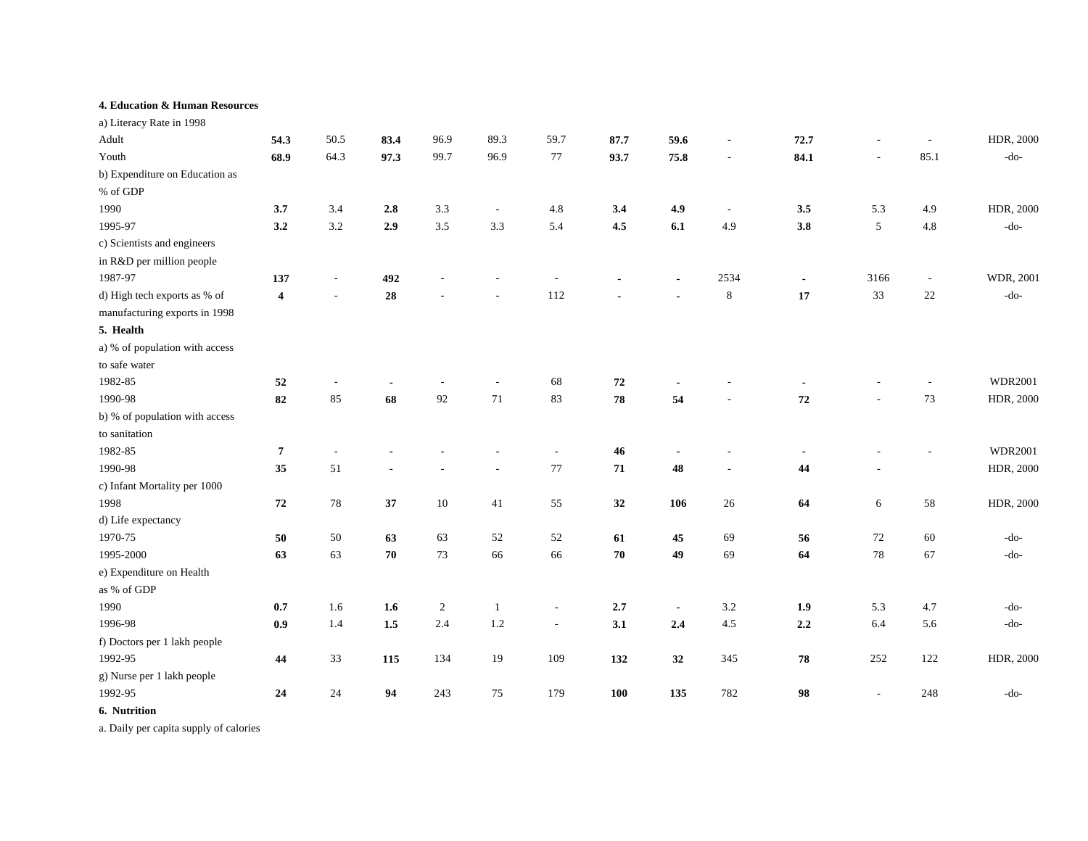#### **4. Education & Human Resources**

| a) Literacy Rate in 1998       |                         |        |         |            |                          |                          |            |                |                          |         |                |        |                |
|--------------------------------|-------------------------|--------|---------|------------|--------------------------|--------------------------|------------|----------------|--------------------------|---------|----------------|--------|----------------|
| Adult                          | 54.3                    | 50.5   | 83.4    | 96.9       | 89.3                     | 59.7                     | 87.7       | 59.6           | ٠                        | 72.7    |                |        | HDR, 2000      |
| Youth                          | 68.9                    | 64.3   | 97.3    | 99.7       | 96.9                     | $77\,$                   | 93.7       | 75.8           | $\overline{\phantom{a}}$ | 84.1    | $\overline{a}$ | 85.1   | -do-           |
| b) Expenditure on Education as |                         |        |         |            |                          |                          |            |                |                          |         |                |        |                |
| % of GDP                       |                         |        |         |            |                          |                          |            |                |                          |         |                |        |                |
| 1990                           | 3.7                     | 3.4    | $2.8\,$ | 3.3        | $\overline{\phantom{a}}$ | 4.8                      | 3.4        | 4.9            | $\frac{1}{2}$            | 3.5     | 5.3            | 4.9    | HDR, 2000      |
| 1995-97                        | 3.2                     | 3.2    | 2.9     | 3.5        | 3.3                      | 5.4                      | 4.5        | 6.1            | 4.9                      | 3.8     | 5              | 4.8    | $-do-$         |
| c) Scientists and engineers    |                         |        |         |            |                          |                          |            |                |                          |         |                |        |                |
| in R&D per million people      |                         |        |         |            |                          |                          |            |                |                          |         |                |        |                |
| 1987-97                        | 137                     |        | 492     |            |                          |                          |            |                | 2534                     |         | 3166           | $\sim$ | WDR, 2001      |
| d) High tech exports as % of   | $\overline{\mathbf{4}}$ |        | 28      |            |                          | 112                      |            |                | $\,8\,$                  | 17      | 33             | 22     | -do-           |
| manufacturing exports in 1998  |                         |        |         |            |                          |                          |            |                |                          |         |                |        |                |
| 5. Health                      |                         |        |         |            |                          |                          |            |                |                          |         |                |        |                |
| a) % of population with access |                         |        |         |            |                          |                          |            |                |                          |         |                |        |                |
| to safe water                  |                         |        |         |            |                          |                          |            |                |                          |         |                |        |                |
| 1982-85                        | 52                      |        |         |            |                          | 68                       | 72         |                |                          |         |                |        | <b>WDR2001</b> |
| 1990-98                        | ${\bf 82}$              | 85     | 68      | 92         | $71\,$                   | 83                       | ${\bf 78}$ | 54             |                          | 72      |                | $73\,$ | HDR, 2000      |
| b) % of population with access |                         |        |         |            |                          |                          |            |                |                          |         |                |        |                |
| to sanitation                  |                         |        |         |            |                          |                          |            |                |                          |         |                |        |                |
| 1982-85                        | $\overline{7}$          |        |         |            |                          |                          | 46         |                |                          |         |                |        | <b>WDR2001</b> |
| 1990-98                        | 35                      | 51     |         |            |                          | $77\,$                   | ${\bf 71}$ | 48             |                          | 44      |                |        | HDR, 2000      |
| c) Infant Mortality per 1000   |                         |        |         |            |                          |                          |            |                |                          |         |                |        |                |
| 1998                           | 72                      | $78\,$ | 37      | $10\,$     | 41                       | 55                       | 32         | 106            | 26                       | 64      | 6              | 58     | HDR, 2000      |
| d) Life expectancy             |                         |        |         |            |                          |                          |            |                |                          |         |                |        |                |
| 1970-75                        | 50                      | 50     | 63      | 63         | 52                       | 52                       | 61         | 45             | 69                       | 56      | 72             | 60     | $-do-$         |
| 1995-2000                      | 63                      | 63     | 70      | 73         | 66                       | 66                       | 70         | 49             | 69                       | 64      | $78\,$         | 67     | $-do-$         |
| e) Expenditure on Health       |                         |        |         |            |                          |                          |            |                |                          |         |                |        |                |
| as % of GDP                    |                         |        |         |            |                          |                          |            |                |                          |         |                |        |                |
| 1990                           | 0.7                     | 1.6    | 1.6     | $\sqrt{2}$ | $\mathbf{1}$             |                          | 2.7        | $\blacksquare$ | $3.2\,$                  | 1.9     | 5.3            | 4.7    | $-do-$         |
| 1996-98                        | 0.9                     | 1.4    | $1.5\,$ | 2.4        | 1.2                      | $\overline{\phantom{a}}$ | 3.1        | 2.4            | $4.5\,$                  | $2.2\,$ | 6.4            | 5.6    | $-do-$         |
| f) Doctors per 1 lakh people   |                         |        |         |            |                          |                          |            |                |                          |         |                |        |                |
| 1992-95                        | 44                      | 33     | 115     | 134        | 19                       | 109                      | 132        | 32             | 345                      | 78      | 252            | 122    | HDR, 2000      |
| g) Nurse per 1 lakh people     |                         |        |         |            |                          |                          |            |                |                          |         |                |        |                |
| 1992-95                        | 24                      | 24     | 94      | 243        | 75                       | 179                      | 100        | 135            | 782                      | 98      | $\overline{a}$ | 248    | $-do-$         |
|                                |                         |        |         |            |                          |                          |            |                |                          |         |                |        |                |

**6. Nutrition**

a. Daily per capita supply of calories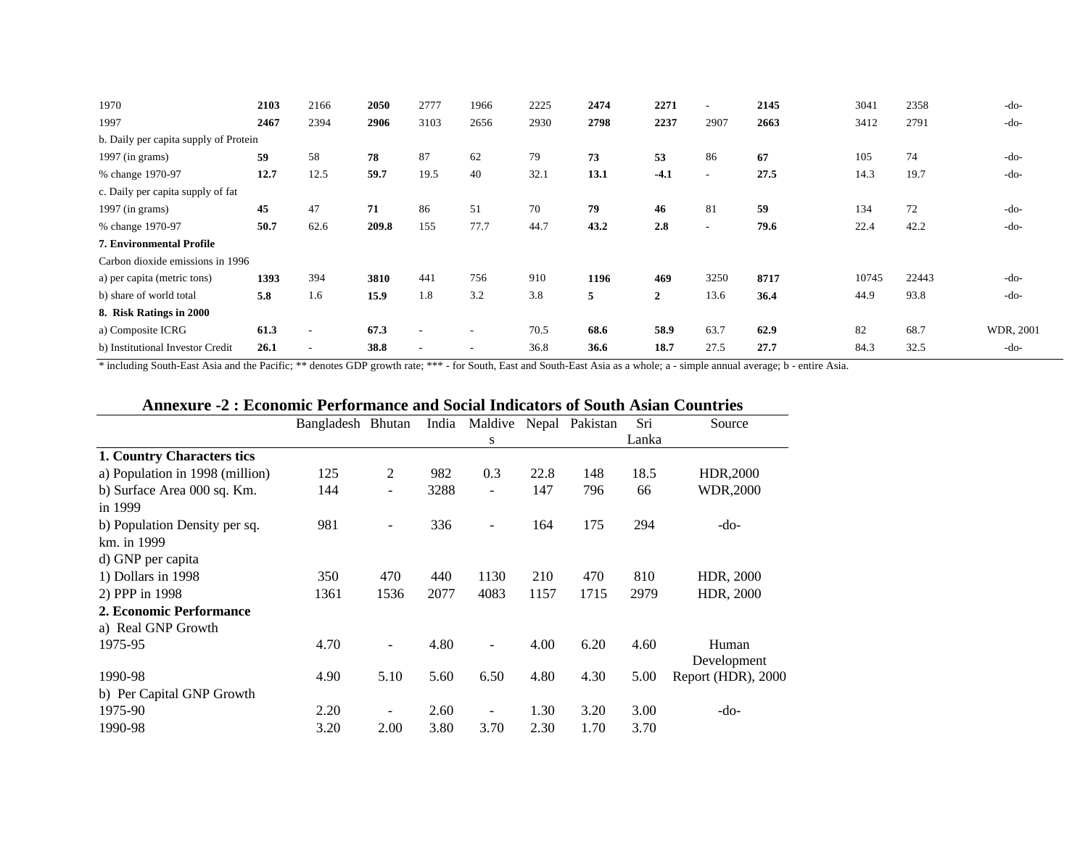| 1970                                  | 2103 | 2166                     | 2050  | 2777                     | 1966                     | 2225 | 2474 | 2271           | $\overline{\phantom{a}}$ | 2145 | 3041  | 2358  | $-do-$    |
|---------------------------------------|------|--------------------------|-------|--------------------------|--------------------------|------|------|----------------|--------------------------|------|-------|-------|-----------|
| 1997                                  | 2467 | 2394                     | 2906  | 3103                     | 2656                     | 2930 | 2798 | 2237           | 2907                     | 2663 | 3412  | 2791  | $-do-$    |
| b. Daily per capita supply of Protein |      |                          |       |                          |                          |      |      |                |                          |      |       |       |           |
| $1997$ (in grams)                     | 59   | 58                       | 78    | 87                       | 62                       | 79   | 73   | 53             | 86                       | 67   | 105   | 74    | $-do-$    |
| % change 1970-97                      | 12.7 | 12.5                     | 59.7  | 19.5                     | 40                       | 32.1 | 13.1 | $-4.1$         | $\sim$                   | 27.5 | 14.3  | 19.7  | $-do-$    |
| c. Daily per capita supply of fat     |      |                          |       |                          |                          |      |      |                |                          |      |       |       |           |
| 1997 (in grams)                       | 45   | 47                       | 71    | 86                       | 51                       | 70   | 79   | 46             | 81                       | 59   | 134   | 72    | $-do-$    |
| % change 1970-97                      | 50.7 | 62.6                     | 209.8 | 155                      | 77.7                     | 44.7 | 43.2 | 2.8            | $\sim$                   | 79.6 | 22.4  | 42.2  | $-do-$    |
| 7. Environmental Profile              |      |                          |       |                          |                          |      |      |                |                          |      |       |       |           |
| Carbon dioxide emissions in 1996      |      |                          |       |                          |                          |      |      |                |                          |      |       |       |           |
| a) per capita (metric tons)           | 1393 | 394                      | 3810  | 441                      | 756                      | 910  | 1196 | 469            | 3250                     | 8717 | 10745 | 22443 | $-do-$    |
| b) share of world total               | 5.8  | 1.6                      | 15.9  | 1.8                      | 3.2                      | 3.8  | 5    | $\overline{2}$ | 13.6                     | 36.4 | 44.9  | 93.8  | $-do-$    |
| 8. Risk Ratings in 2000               |      |                          |       |                          |                          |      |      |                |                          |      |       |       |           |
| a) Composite ICRG                     | 61.3 | $\overline{\phantom{a}}$ | 67.3  | $\overline{\phantom{a}}$ | $\overline{\phantom{a}}$ | 70.5 | 68.6 | 58.9           | 63.7                     | 62.9 | 82    | 68.7  | WDR, 2001 |
| b) Institutional Investor Credit      | 26.1 | $\overline{\phantom{a}}$ | 38.8  | $\overline{\phantom{a}}$ | $\overline{\phantom{a}}$ | 36.8 | 36.6 | 18.7           | 27.5                     | 27.7 | 84.3  | 32.5  | $-do-$    |

\* including South-East Asia and the Pacific; \*\* denotes GDP growth rate; \*\*\* - for South, East and South-East Asia as a whole; a - simple annual average; b - entire Asia.

# **Annexure -2 : Economic Performance and Social Indicators of South Asian Countries**

|                                 | Bangladesh Bhutan |                | India |                          |      | Maldive Nepal Pakistan | Sri   | Source             |
|---------------------------------|-------------------|----------------|-------|--------------------------|------|------------------------|-------|--------------------|
|                                 |                   |                |       | S                        |      |                        | Lanka |                    |
| 1. Country Characters tics      |                   |                |       |                          |      |                        |       |                    |
| a) Population in 1998 (million) | 125               | $\overline{2}$ | 982   | 0.3                      | 22.8 | 148                    | 18.5  | HDR, 2000          |
| b) Surface Area 000 sq. Km.     | 144               |                | 3288  | $\overline{\phantom{a}}$ | 147  | 796                    | 66    | <b>WDR,2000</b>    |
| in 1999                         |                   |                |       |                          |      |                        |       |                    |
| b) Population Density per sq.   | 981               |                | 336   | ۰                        | 164  | 175                    | 294   | -do-               |
| km. in 1999                     |                   |                |       |                          |      |                        |       |                    |
| d) GNP per capita               |                   |                |       |                          |      |                        |       |                    |
| 1) Dollars in 1998              | 350               | 470            | 440   | 1130                     | 210  | 470                    | 810   | HDR, 2000          |
| 2) PPP in 1998                  | 1361              | 1536           | 2077  | 4083                     | 1157 | 1715                   | 2979  | HDR, 2000          |
| 2. Economic Performance         |                   |                |       |                          |      |                        |       |                    |
| a) Real GNP Growth              |                   |                |       |                          |      |                        |       |                    |
| 1975-95                         | 4.70              |                | 4.80  |                          | 4.00 | 6.20                   | 4.60  | Human              |
|                                 |                   |                |       |                          |      |                        |       | Development        |
| 1990-98                         | 4.90              | 5.10           | 5.60  | 6.50                     | 4.80 | 4.30                   | 5.00  | Report (HDR), 2000 |
| b) Per Capital GNP Growth       |                   |                |       |                          |      |                        |       |                    |
| 1975-90                         | 2.20              |                | 2.60  |                          | 1.30 | 3.20                   | 3.00  | -do-               |
| 1990-98                         | 3.20              | 2.00           | 3.80  | 3.70                     | 2.30 | 1.70                   | 3.70  |                    |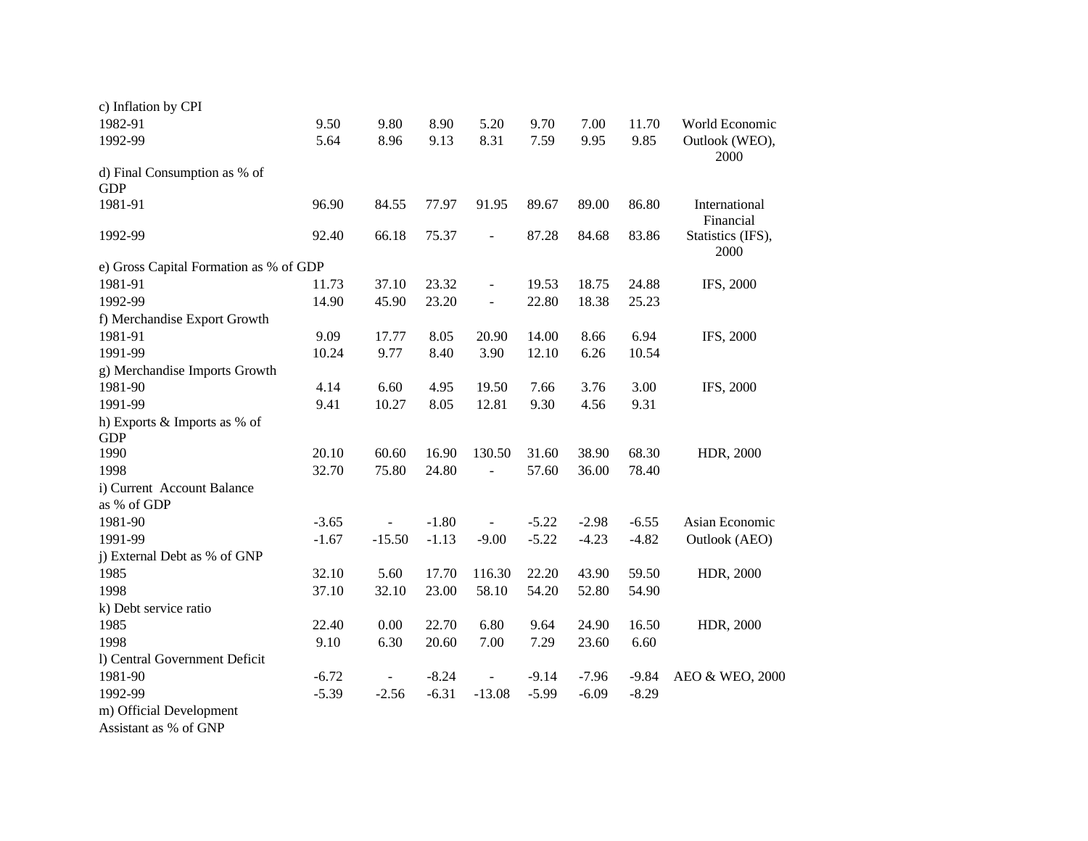| c) Inflation by CPI                    |         |                |         |                |         |         |         |                            |
|----------------------------------------|---------|----------------|---------|----------------|---------|---------|---------|----------------------------|
| 1982-91                                | 9.50    | 9.80           | 8.90    | 5.20           | 9.70    | 7.00    | 11.70   | World Economic             |
| 1992-99                                | 5.64    | 8.96           | 9.13    | 8.31           | 7.59    | 9.95    | 9.85    | Outlook (WEO),<br>2000     |
| d) Final Consumption as % of           |         |                |         |                |         |         |         |                            |
| <b>GDP</b>                             |         |                |         |                |         |         |         |                            |
| 1981-91                                | 96.90   | 84.55          | 77.97   | 91.95          | 89.67   | 89.00   | 86.80   | International<br>Financial |
| 1992-99                                | 92.40   | 66.18          | 75.37   | $\blacksquare$ | 87.28   | 84.68   | 83.86   | Statistics (IFS),<br>2000  |
| e) Gross Capital Formation as % of GDP |         |                |         |                |         |         |         |                            |
| 1981-91                                | 11.73   | 37.10          | 23.32   | $\blacksquare$ | 19.53   | 18.75   | 24.88   | IFS, 2000                  |
| 1992-99                                | 14.90   | 45.90          | 23.20   | $\blacksquare$ | 22.80   | 18.38   | 25.23   |                            |
| f) Merchandise Export Growth           |         |                |         |                |         |         |         |                            |
| 1981-91                                | 9.09    | 17.77          | 8.05    | 20.90          | 14.00   | 8.66    | 6.94    | IFS, 2000                  |
| 1991-99                                | 10.24   | 9.77           | 8.40    | 3.90           | 12.10   | 6.26    | 10.54   |                            |
| g) Merchandise Imports Growth          |         |                |         |                |         |         |         |                            |
| 1981-90                                | 4.14    | 6.60           | 4.95    | 19.50          | 7.66    | 3.76    | 3.00    | IFS, 2000                  |
| 1991-99                                | 9.41    | 10.27          | 8.05    | 12.81          | 9.30    | 4.56    | 9.31    |                            |
| h) Exports & Imports as % of           |         |                |         |                |         |         |         |                            |
| <b>GDP</b>                             |         |                |         |                |         |         |         |                            |
| 1990                                   | 20.10   | 60.60          | 16.90   | 130.50         | 31.60   | 38.90   | 68.30   | HDR, 2000                  |
| 1998                                   | 32.70   | 75.80          | 24.80   | $\blacksquare$ | 57.60   | 36.00   | 78.40   |                            |
| i) Current Account Balance             |         |                |         |                |         |         |         |                            |
| as % of GDP                            |         |                |         |                |         |         |         |                            |
| 1981-90                                | $-3.65$ |                | $-1.80$ |                | $-5.22$ | $-2.98$ | $-6.55$ | Asian Economic             |
| 1991-99                                | $-1.67$ | $-15.50$       | $-1.13$ | $-9.00$        | $-5.22$ | $-4.23$ | $-4.82$ | Outlook (AEO)              |
| j) External Debt as % of GNP           |         |                |         |                |         |         |         |                            |
| 1985                                   | 32.10   | 5.60           | 17.70   | 116.30         | 22.20   | 43.90   | 59.50   | HDR, 2000                  |
| 1998                                   | 37.10   | 32.10          | 23.00   | 58.10          | 54.20   | 52.80   | 54.90   |                            |
| k) Debt service ratio                  |         |                |         |                |         |         |         |                            |
| 1985                                   | 22.40   | 0.00           | 22.70   | 6.80           | 9.64    | 24.90   | 16.50   | HDR, 2000                  |
| 1998                                   | 9.10    | 6.30           | 20.60   | 7.00           | 7.29    | 23.60   | 6.60    |                            |
| l) Central Government Deficit          |         |                |         |                |         |         |         |                            |
| 1981-90                                | $-6.72$ | $\blacksquare$ | $-8.24$ | $\blacksquare$ | $-9.14$ | $-7.96$ | $-9.84$ | AEO & WEO, 2000            |
| 1992-99                                | $-5.39$ | $-2.56$        | $-6.31$ | $-13.08$       | $-5.99$ | $-6.09$ | $-8.29$ |                            |
| m) Official Development                |         |                |         |                |         |         |         |                            |

Assistant as % of GNP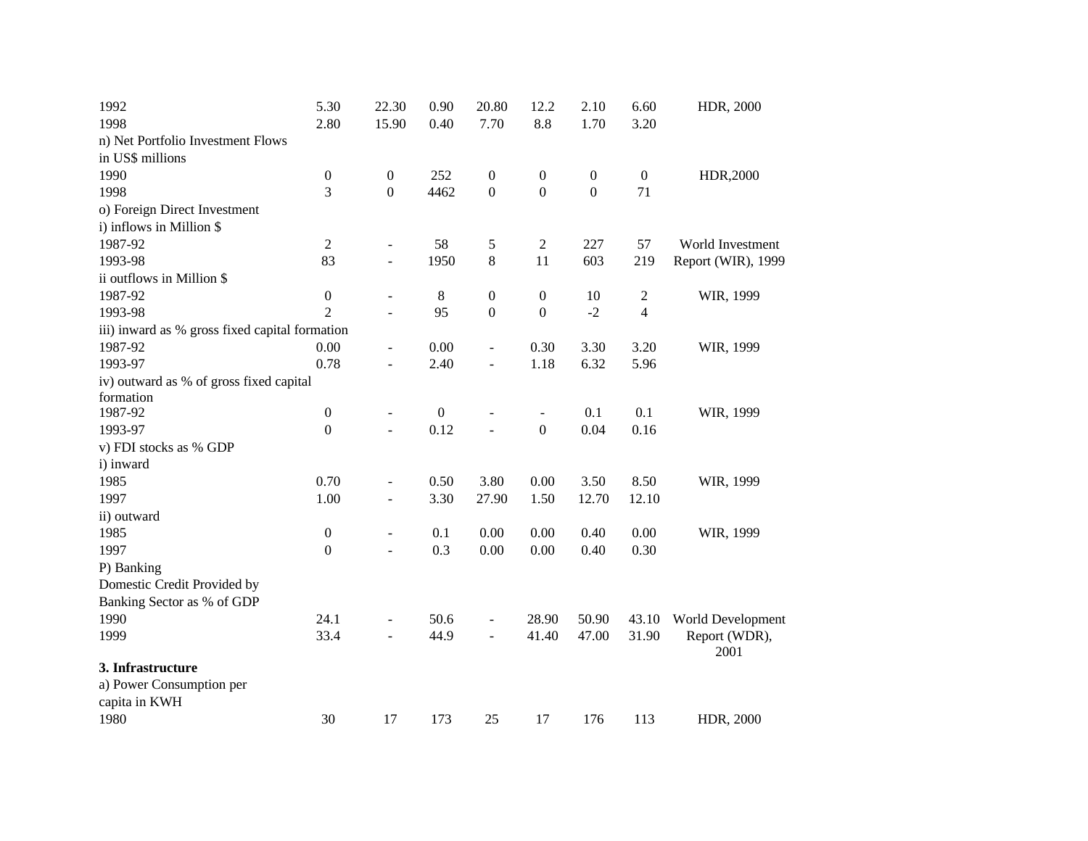| 1992                                           | 5.30             | 22.30                    | 0.90             | 20.80                    | 12.2                     | 2.10             | 6.60             | HDR, 2000             |
|------------------------------------------------|------------------|--------------------------|------------------|--------------------------|--------------------------|------------------|------------------|-----------------------|
| 1998                                           | 2.80             | 15.90                    | 0.40             | 7.70                     | 8.8                      | 1.70             | 3.20             |                       |
| n) Net Portfolio Investment Flows              |                  |                          |                  |                          |                          |                  |                  |                       |
| in US\$ millions                               |                  |                          |                  |                          |                          |                  |                  |                       |
| 1990                                           | $\boldsymbol{0}$ | $\boldsymbol{0}$         | 252              | $\boldsymbol{0}$         | $\boldsymbol{0}$         | $\boldsymbol{0}$ | $\boldsymbol{0}$ | HDR,2000              |
| 1998                                           | $\overline{3}$   | $\mathbf{0}$             | 4462             | $\boldsymbol{0}$         | $\boldsymbol{0}$         | $\mathbf{0}$     | 71               |                       |
| o) Foreign Direct Investment                   |                  |                          |                  |                          |                          |                  |                  |                       |
| i) inflows in Million \$                       |                  |                          |                  |                          |                          |                  |                  |                       |
| 1987-92                                        | 2                | $\blacksquare$           | 58               | 5                        | $\overline{c}$           | 227              | 57               | World Investment      |
| 1993-98                                        | 83               | $\blacksquare$           | 1950             | 8                        | 11                       | 603              | 219              | Report (WIR), 1999    |
| ii outflows in Million \$                      |                  |                          |                  |                          |                          |                  |                  |                       |
| 1987-92                                        | $\boldsymbol{0}$ | $\blacksquare$           | 8                | $\boldsymbol{0}$         | $\boldsymbol{0}$         | 10               | $\overline{c}$   | WIR, 1999             |
| 1993-98                                        | $\overline{2}$   | $\blacksquare$           | 95               | $\boldsymbol{0}$         | $\mathbf{0}$             | $-2$             | 4                |                       |
| iii) inward as % gross fixed capital formation |                  |                          |                  |                          |                          |                  |                  |                       |
| 1987-92                                        | 0.00             | $\blacksquare$           | 0.00             | $\frac{1}{2}$            | 0.30                     | 3.30             | 3.20             | WIR, 1999             |
| 1993-97                                        | 0.78             | $\blacksquare$           | 2.40             | $\Box$                   | 1.18                     | 6.32             | 5.96             |                       |
| iv) outward as % of gross fixed capital        |                  |                          |                  |                          |                          |                  |                  |                       |
| formation                                      |                  |                          |                  |                          |                          |                  |                  |                       |
| 1987-92                                        | $\boldsymbol{0}$ | $\blacksquare$           | $\boldsymbol{0}$ | $\overline{\phantom{a}}$ | $\overline{\phantom{a}}$ | 0.1              | 0.1              | WIR, 1999             |
| 1993-97                                        | $\boldsymbol{0}$ | $\blacksquare$           | 0.12             | $\overline{a}$           | $\boldsymbol{0}$         | 0.04             | 0.16             |                       |
| v) FDI stocks as % GDP                         |                  |                          |                  |                          |                          |                  |                  |                       |
| i) inward                                      |                  |                          |                  |                          |                          |                  |                  |                       |
| 1985                                           | 0.70             | $\overline{\phantom{a}}$ | 0.50             | 3.80                     | 0.00                     | 3.50             | 8.50             | WIR, 1999             |
| 1997                                           | 1.00             | $\blacksquare$           | 3.30             | 27.90                    | 1.50                     | 12.70            | 12.10            |                       |
| ii) outward                                    |                  |                          |                  |                          |                          |                  |                  |                       |
| 1985                                           | $\boldsymbol{0}$ | $\overline{\phantom{a}}$ | 0.1              | 0.00                     | 0.00                     | 0.40             | 0.00             | WIR, 1999             |
| 1997                                           | $\boldsymbol{0}$ | $\overline{a}$           | 0.3              | 0.00                     | 0.00                     | 0.40             | 0.30             |                       |
| P) Banking                                     |                  |                          |                  |                          |                          |                  |                  |                       |
| Domestic Credit Provided by                    |                  |                          |                  |                          |                          |                  |                  |                       |
| Banking Sector as % of GDP                     |                  |                          |                  |                          |                          |                  |                  |                       |
| 1990                                           | 24.1             | $\overline{\phantom{a}}$ | 50.6             | $\overline{\phantom{a}}$ | 28.90                    | 50.90            | 43.10            | World Development     |
| 1999                                           | 33.4             | $\overline{a}$           | 44.9             | $\overline{\phantom{a}}$ | 41.40                    | 47.00            | 31.90            | Report (WDR),<br>2001 |
| 3. Infrastructure                              |                  |                          |                  |                          |                          |                  |                  |                       |
| a) Power Consumption per                       |                  |                          |                  |                          |                          |                  |                  |                       |
| capita in KWH                                  |                  |                          |                  |                          |                          |                  |                  |                       |
| 1980                                           | 30               | 17                       | 173              | 25                       | 17                       | 176              | 113              | HDR, 2000             |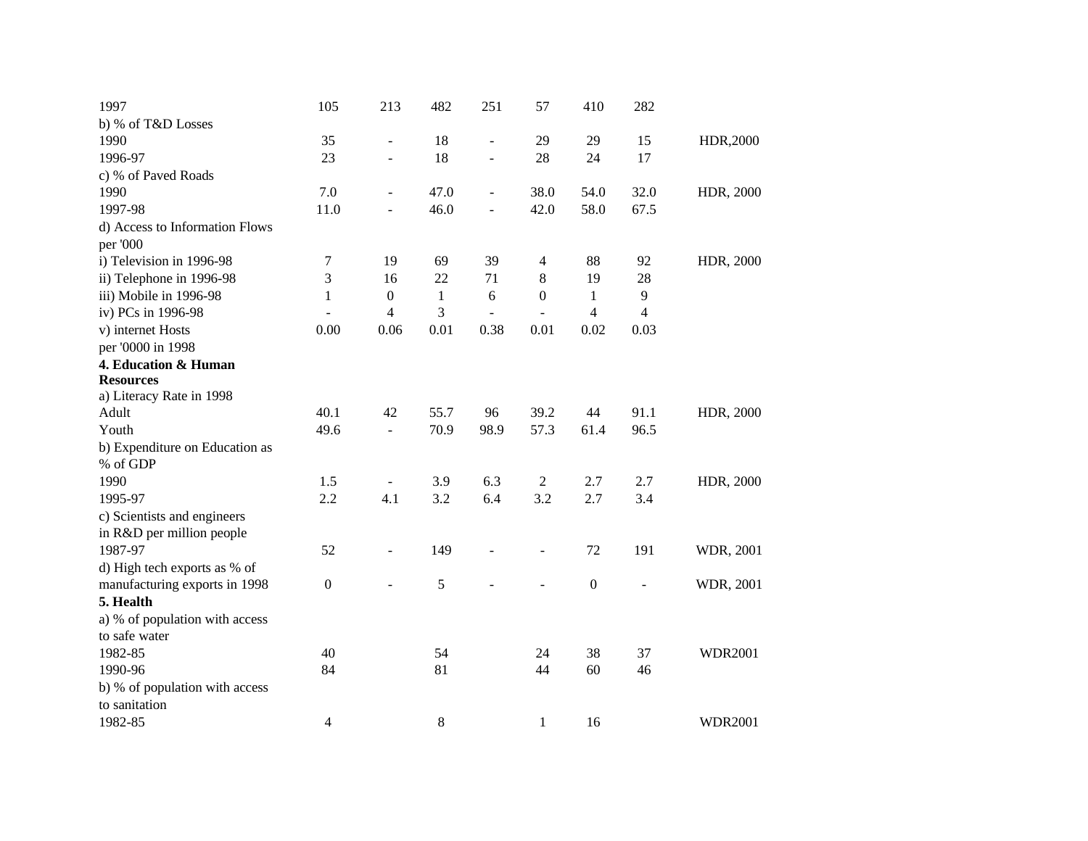| 1997                           | 105              | 213                      | 482          | 251                      | 57               | 410                      | 282                     |                |
|--------------------------------|------------------|--------------------------|--------------|--------------------------|------------------|--------------------------|-------------------------|----------------|
| b) % of T&D Losses             |                  |                          |              |                          |                  |                          |                         |                |
| 1990                           | 35               | $\overline{a}$           | 18           | $\overline{\phantom{a}}$ | 29               | 29                       | 15                      | HDR,2000       |
| 1996-97                        | 23               | $\overline{a}$           | 18           |                          | 28               | 24                       | 17                      |                |
| c) % of Paved Roads            |                  |                          |              |                          |                  |                          |                         |                |
| 1990                           | 7.0              | $\overline{\phantom{a}}$ | 47.0         | $\overline{\phantom{a}}$ | 38.0             | 54.0                     | 32.0                    | HDR, 2000      |
| 1997-98                        | 11.0             | $\overline{a}$           | 46.0         |                          | 42.0             | 58.0                     | 67.5                    |                |
| d) Access to Information Flows |                  |                          |              |                          |                  |                          |                         |                |
| per '000                       |                  |                          |              |                          |                  |                          |                         |                |
| i) Television in 1996-98       | 7                | 19                       | 69           | 39                       | $\overline{4}$   | 88                       | 92                      | HDR, 2000      |
| ii) Telephone in 1996-98       | 3                | 16                       | 22           | 71                       | 8                | 19                       | 28                      |                |
| iii) Mobile in 1996-98         | $\mathbf{1}$     | $\boldsymbol{0}$         | $\mathbf{1}$ | $\sqrt{6}$               | $\boldsymbol{0}$ | $\mathbf{1}$             | 9                       |                |
| iv) PCs in 1996-98             |                  | $\overline{4}$           | 3            |                          |                  | $\overline{\mathcal{L}}$ | $\overline{\mathbf{4}}$ |                |
| v) internet Hosts              | 0.00             | 0.06                     | 0.01         | 0.38                     | 0.01             | 0.02                     | 0.03                    |                |
| per '0000 in 1998              |                  |                          |              |                          |                  |                          |                         |                |
| 4. Education & Human           |                  |                          |              |                          |                  |                          |                         |                |
| <b>Resources</b>               |                  |                          |              |                          |                  |                          |                         |                |
| a) Literacy Rate in 1998       |                  |                          |              |                          |                  |                          |                         |                |
| Adult                          | 40.1             | 42                       | 55.7         | 96                       | 39.2             | 44                       | 91.1                    | HDR, 2000      |
| Youth                          | 49.6             | $\overline{\phantom{a}}$ | 70.9         | 98.9                     | 57.3             | 61.4                     | 96.5                    |                |
| b) Expenditure on Education as |                  |                          |              |                          |                  |                          |                         |                |
| % of GDP                       |                  |                          |              |                          |                  |                          |                         |                |
| 1990                           | 1.5              | $\blacksquare$           | 3.9          | 6.3                      | $\boldsymbol{2}$ | 2.7                      | 2.7                     | HDR, 2000      |
| 1995-97                        | 2.2              | 4.1                      | 3.2          | 6.4                      | 3.2              | 2.7                      | 3.4                     |                |
| c) Scientists and engineers    |                  |                          |              |                          |                  |                          |                         |                |
| in R&D per million people      |                  |                          |              |                          |                  |                          |                         |                |
| 1987-97                        | 52               | $\overline{a}$           | 149          |                          |                  | 72                       | 191                     | WDR, 2001      |
| d) High tech exports as % of   |                  |                          |              |                          |                  |                          |                         |                |
| manufacturing exports in 1998  | $\boldsymbol{0}$ |                          | 5            |                          |                  | $\boldsymbol{0}$         | ÷,                      | WDR, 2001      |
| 5. Health                      |                  |                          |              |                          |                  |                          |                         |                |
| a) % of population with access |                  |                          |              |                          |                  |                          |                         |                |
| to safe water                  |                  |                          |              |                          |                  |                          |                         |                |
| 1982-85                        | 40               |                          | 54           |                          | 24               | 38                       | 37                      | <b>WDR2001</b> |
| 1990-96                        | 84               |                          | 81           |                          | 44               | 60                       | 46                      |                |
| b) % of population with access |                  |                          |              |                          |                  |                          |                         |                |
| to sanitation                  |                  |                          |              |                          |                  |                          |                         |                |
| 1982-85                        | 4                |                          | 8            |                          | 1                | 16                       |                         | <b>WDR2001</b> |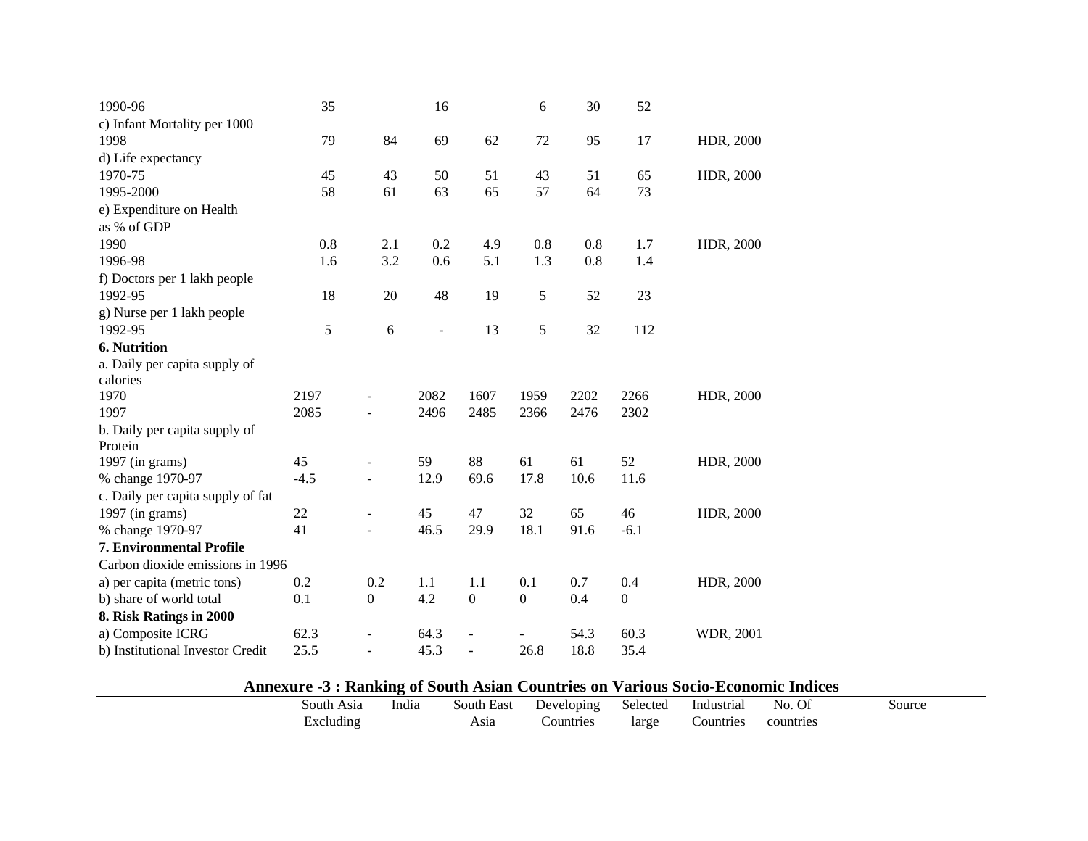| 1990-96                           | 35     |                          | 16   |                  | 6                | 30   | 52               |           |
|-----------------------------------|--------|--------------------------|------|------------------|------------------|------|------------------|-----------|
| c) Infant Mortality per 1000      |        |                          |      |                  |                  |      |                  |           |
| 1998                              | 79     | 84                       | 69   | 62               | 72               | 95   | 17               | HDR, 2000 |
| d) Life expectancy                |        |                          |      |                  |                  |      |                  |           |
| 1970-75                           | 45     | 43                       | 50   | 51               | 43               | 51   | 65               | HDR, 2000 |
| 1995-2000                         | 58     | 61                       | 63   | 65               | 57               | 64   | 73               |           |
| e) Expenditure on Health          |        |                          |      |                  |                  |      |                  |           |
| as % of GDP                       |        |                          |      |                  |                  |      |                  |           |
| 1990                              | 0.8    | 2.1                      | 0.2  | 4.9              | 0.8              | 0.8  | 1.7              | HDR, 2000 |
| 1996-98                           | 1.6    | 3.2                      | 0.6  | 5.1              | 1.3              | 0.8  | 1.4              |           |
| f) Doctors per 1 lakh people      |        |                          |      |                  |                  |      |                  |           |
| 1992-95                           | 18     | 20                       | 48   | 19               | 5                | 52   | 23               |           |
| g) Nurse per 1 lakh people        |        |                          |      |                  |                  |      |                  |           |
| 1992-95                           | 5      | 6                        | ÷,   | 13               | 5                | 32   | 112              |           |
| <b>6. Nutrition</b>               |        |                          |      |                  |                  |      |                  |           |
| a. Daily per capita supply of     |        |                          |      |                  |                  |      |                  |           |
| calories                          |        |                          |      |                  |                  |      |                  |           |
| 1970                              | 2197   |                          | 2082 | 1607             | 1959             | 2202 | 2266             | HDR, 2000 |
| 1997                              | 2085   |                          | 2496 | 2485             | 2366             | 2476 | 2302             |           |
| b. Daily per capita supply of     |        |                          |      |                  |                  |      |                  |           |
| Protein                           |        |                          |      |                  |                  |      |                  |           |
| 1997 (in grams)                   | 45     |                          | 59   | 88               | 61               | 61   | 52               | HDR, 2000 |
| % change 1970-97                  | $-4.5$ |                          | 12.9 | 69.6             | 17.8             | 10.6 | 11.6             |           |
| c. Daily per capita supply of fat |        |                          |      |                  |                  |      |                  |           |
| 1997 (in grams)                   | 22     | $\overline{\phantom{m}}$ | 45   | 47               | 32               | 65   | 46               | HDR, 2000 |
| % change 1970-97                  | 41     | $\overline{a}$           | 46.5 | 29.9             | 18.1             | 91.6 | $-6.1$           |           |
| <b>7. Environmental Profile</b>   |        |                          |      |                  |                  |      |                  |           |
| Carbon dioxide emissions in 1996  |        |                          |      |                  |                  |      |                  |           |
| a) per capita (metric tons)       | 0.2    | 0.2                      | 1.1  | 1.1              | 0.1              | 0.7  | 0.4              | HDR, 2000 |
| b) share of world total           | 0.1    | $\boldsymbol{0}$         | 4.2  | $\boldsymbol{0}$ | $\boldsymbol{0}$ | 0.4  | $\boldsymbol{0}$ |           |
| 8. Risk Ratings in 2000           |        |                          |      |                  |                  |      |                  |           |
| a) Composite ICRG                 | 62.3   |                          | 64.3 |                  |                  | 54.3 | 60.3             | WDR, 2001 |
| b) Institutional Investor Credit  | 25.5   | $\overline{a}$           | 45.3 | $\blacksquare$   | 26.8             | 18.8 | 35.4             |           |

 $\sim$ 

# **Annexure -3 : Ranking of South Asian Countries on Various Socio-Economic Indices**

|            |       | THIRACLE $\sim$ . Kaniking of bould traditi countries on $\tau$ at fous bocto-exconomic finances |            |          |                  |           |        |
|------------|-------|--------------------------------------------------------------------------------------------------|------------|----------|------------------|-----------|--------|
| South Asia | India | South East                                                                                       | Developing | Selected | Industrial       | No.       | Source |
| xcluding   |       | Asıa                                                                                             | countries  | large    | <b>Countries</b> | countries |        |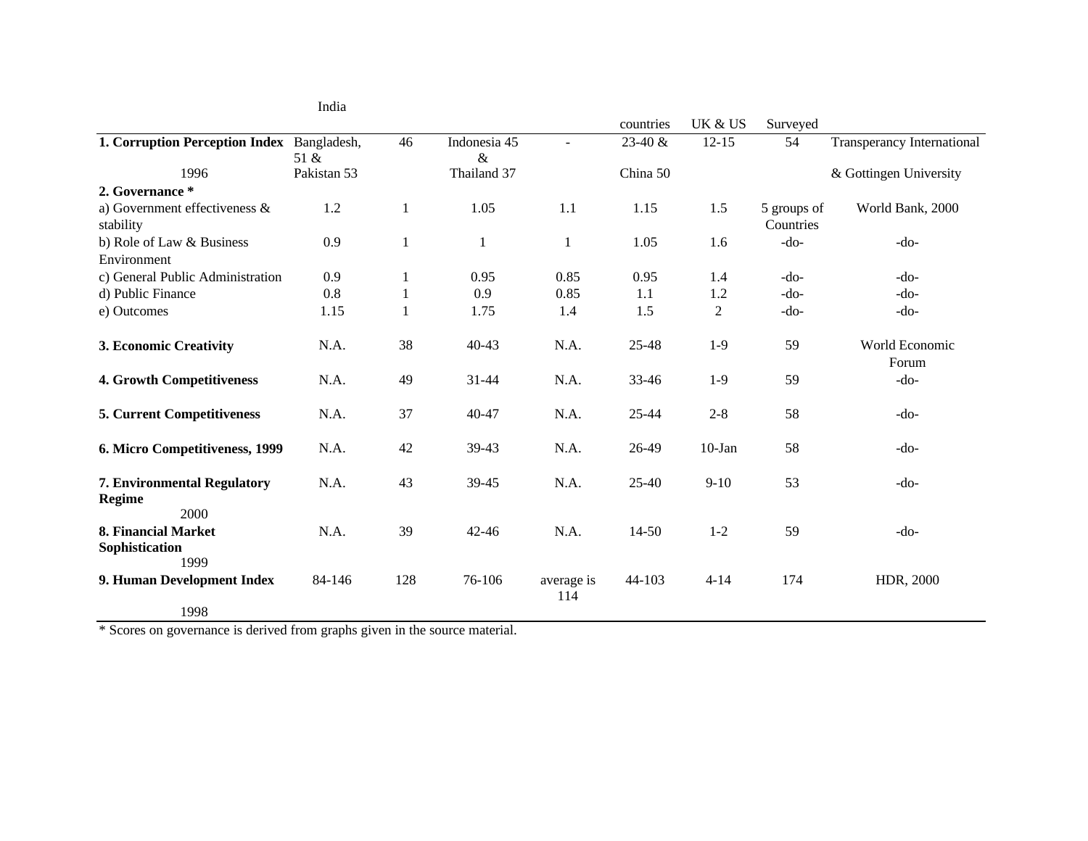|                                                      | India       |     |                      |                   |           |           |                          |                            |
|------------------------------------------------------|-------------|-----|----------------------|-------------------|-----------|-----------|--------------------------|----------------------------|
|                                                      |             |     |                      |                   | countries | UK & US   | Surveyed                 |                            |
| 1. Corruption Perception Index Bangladesh,           | 51 &        | 46  | Indonesia 45<br>$\&$ | $\blacksquare$    | 23-40 &   | $12 - 15$ | 54                       | Transperancy International |
| 1996                                                 | Pakistan 53 |     | Thailand 37          |                   | China 50  |           |                          | & Gottingen University     |
| 2. Governance *                                      |             |     |                      |                   |           |           |                          |                            |
| a) Government effectiveness $\&$<br>stability        | 1.2         | 1   | 1.05                 | 1.1               | 1.15      | 1.5       | 5 groups of<br>Countries | World Bank, 2000           |
| b) Role of Law & Business                            | 0.9         | 1   | 1                    | 1                 | 1.05      | 1.6       | $-do-$                   | $-do-$                     |
| Environment                                          |             |     |                      |                   |           |           |                          |                            |
| c) General Public Administration                     | 0.9         | 1   | 0.95                 | 0.85              | 0.95      | 1.4       | $-do-$                   | $-do-$                     |
| d) Public Finance                                    | 0.8         |     | 0.9                  | 0.85              | 1.1       | 1.2       | $-do-$                   | $-do-$                     |
| e) Outcomes                                          | 1.15        |     | 1.75                 | 1.4               | 1.5       | 2         | $-do-$                   | $-do-$                     |
| 3. Economic Creativity                               | N.A.        | 38  | $40 - 43$            | N.A.              | 25-48     | $1-9$     | 59                       | World Economic<br>Forum    |
| <b>4. Growth Competitiveness</b>                     | N.A.        | 49  | $31 - 44$            | N.A.              | 33-46     | $1-9$     | 59                       | $-do-$                     |
| <b>5. Current Competitiveness</b>                    | N.A.        | 37  | 40-47                | N.A.              | $25 - 44$ | $2 - 8$   | 58                       | $-do-$                     |
| 6. Micro Competitiveness, 1999                       | N.A.        | 42  | 39-43                | N.A.              | 26-49     | $10$ -Jan | 58                       | $-do-$                     |
| 7. Environmental Regulatory<br><b>Regime</b><br>2000 | N.A.        | 43  | 39-45                | N.A.              | $25-40$   | $9-10$    | 53                       | $-do-$                     |
| 8. Financial Market                                  | N.A.        | 39  | $42 - 46$            | N.A.              | $14 - 50$ | $1 - 2$   | 59                       | $-do-$                     |
| Sophistication<br>1999                               |             |     |                      |                   |           |           |                          |                            |
| 9. Human Development Index                           | 84-146      | 128 | 76-106               | average is<br>114 | 44-103    | $4 - 14$  | 174                      | HDR, 2000                  |
| 1998                                                 |             |     |                      |                   |           |           |                          |                            |

\* Scores on governance is derived from graphs given in the source material.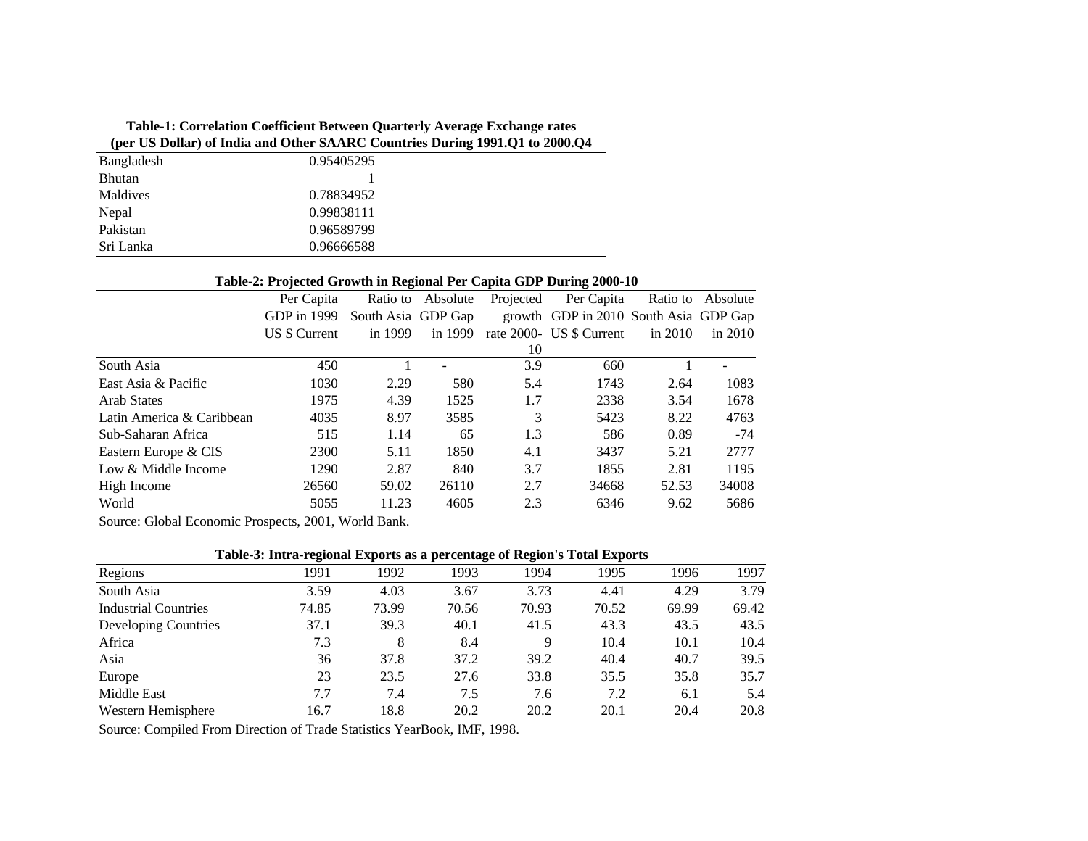## **Table-1: Correlation Coefficient Between Quarterly Average Exchange rates (per US Dollar) of India and Other SAARC Countries During 1991.Q1 to 2000.Q4**

| Bangladesh    | 0.95405295 |
|---------------|------------|
| <b>Bhutan</b> |            |
| Maldives      | 0.78834952 |
| Nepal         | 0.99838111 |
| Pakistan      | 0.96589799 |
| Sri Lanka     | 0.96666588 |

#### **Table-2: Projected Growth in Regional Per Capita GDP During 2000-10**

|                           |               | -                  |          | л.        |                                       |           |           |
|---------------------------|---------------|--------------------|----------|-----------|---------------------------------------|-----------|-----------|
|                           | Per Capita    | Ratio to           | Absolute | Projected | Per Capita                            | Ratio to  | Absolute  |
|                           | GDP in 1999   | South Asia GDP Gap |          |           | growth GDP in 2010 South Asia GDP Gap |           |           |
|                           | US \$ Current | in 1999            | in 1999  |           | rate 2000- US \$ Current              | in $2010$ | in $2010$ |
|                           |               |                    |          | 10        |                                       |           |           |
| South Asia                | 450           |                    |          | 3.9       | 660                                   |           |           |
| East Asia & Pacific       | 1030          | 2.29               | 580      | 5.4       | 1743                                  | 2.64      | 1083      |
| <b>Arab States</b>        | 1975          | 4.39               | 1525     | 1.7       | 2338                                  | 3.54      | 1678      |
| Latin America & Caribbean | 4035          | 8.97               | 3585     | 3         | 5423                                  | 8.22      | 4763      |
| Sub-Saharan Africa        | 515           | 1.14               | 65       | 1.3       | 586                                   | 0.89      | $-74$     |
| Eastern Europe & CIS      | 2300          | 5.11               | 1850     | 4.1       | 3437                                  | 5.21      | 2777      |
| Low & Middle Income       | 1290          | 2.87               | 840      | 3.7       | 1855                                  | 2.81      | 1195      |
| High Income               | 26560         | 59.02              | 26110    | 2.7       | 34668                                 | 52.53     | 34008     |
| World                     | 5055          | 11.23              | 4605     | 2.3       | 6346                                  | 9.62      | 5686      |

Source: Global Economic Prospects, 2001, World Bank.

### **Table-3: Intra-regional Exports as a percentage of Region's Total Exports**

| Regions                     | 1991  | 1992  | 1993  | 1994  | 1995  | 1996  | 1997  |
|-----------------------------|-------|-------|-------|-------|-------|-------|-------|
| South Asia                  | 3.59  | 4.03  | 3.67  | 3.73  | 4.41  | 4.29  | 3.79  |
| <b>Industrial Countries</b> | 74.85 | 73.99 | 70.56 | 70.93 | 70.52 | 69.99 | 69.42 |
| Developing Countries        | 37.1  | 39.3  | 40.1  | 41.5  | 43.3  | 43.5  | 43.5  |
| Africa                      | 7.3   | 8     | 8.4   | 9     | 10.4  | 10.1  | 10.4  |
| Asia                        | 36    | 37.8  | 37.2  | 39.2  | 40.4  | 40.7  | 39.5  |
| Europe                      | 23    | 23.5  | 27.6  | 33.8  | 35.5  | 35.8  | 35.7  |
| Middle East                 | 7.7   | 7.4   | 7.5   | 7.6   | 7.2   | 6.1   | 5.4   |
| Western Hemisphere          | 16.7  | 18.8  | 20.2  | 20.2  | 20.1  | 20.4  | 20.8  |

Source: Compiled From Direction of Trade Statistics YearBook, IMF, 1998.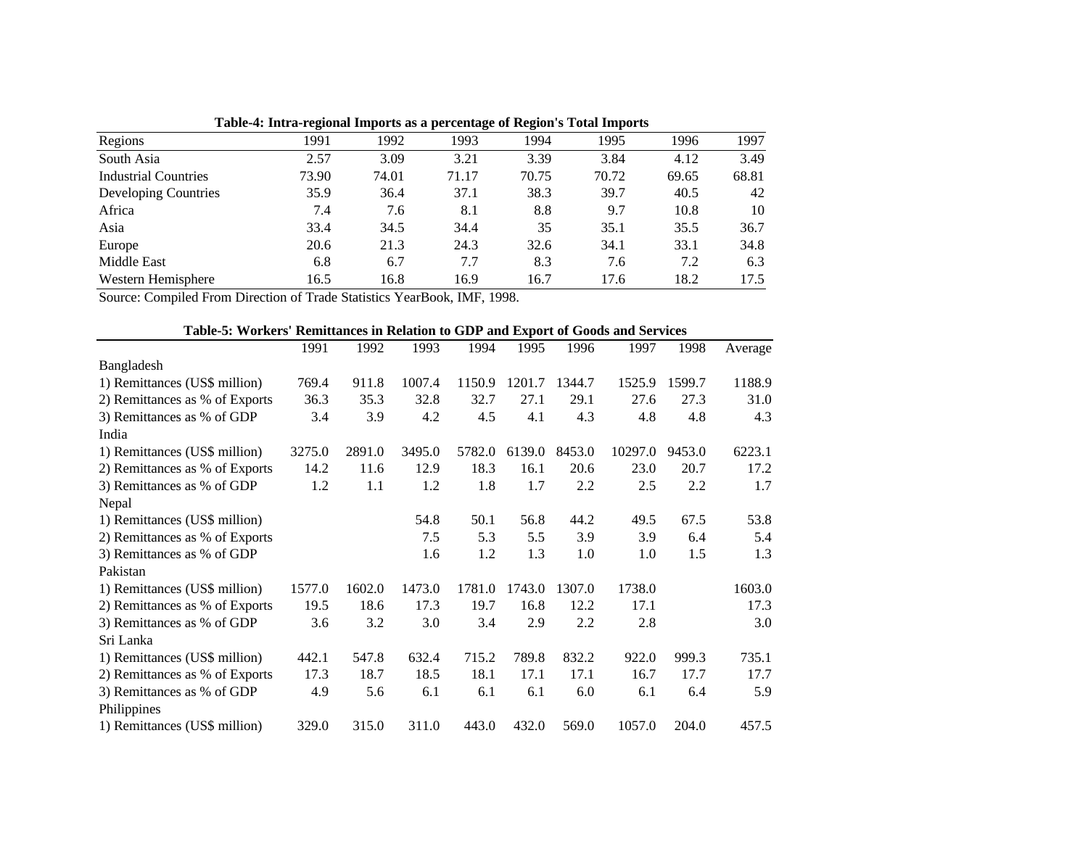|                             | талеч. пита-гединат пирогия ая а регесинаде от гедингя товат пирогия |       |       |       |       |       |       |
|-----------------------------|----------------------------------------------------------------------|-------|-------|-------|-------|-------|-------|
| Regions                     | 1991                                                                 | 1992  | 1993  | 1994  | 1995  | 1996  | 1997  |
| South Asia                  | 2.57                                                                 | 3.09  | 3.21  | 3.39  | 3.84  | 4.12  | 3.49  |
| <b>Industrial Countries</b> | 73.90                                                                | 74.01 | 71.17 | 70.75 | 70.72 | 69.65 | 68.81 |
| Developing Countries        | 35.9                                                                 | 36.4  | 37.1  | 38.3  | 39.7  | 40.5  | 42    |
| Africa                      | 7.4                                                                  | 7.6   | 8.1   | 8.8   | 9.7   | 10.8  | 10    |
| Asia                        | 33.4                                                                 | 34.5  | 34.4  | 35    | 35.1  | 35.5  | 36.7  |
| Europe                      | 20.6                                                                 | 21.3  | 24.3  | 32.6  | 34.1  | 33.1  | 34.8  |
| Middle East                 | 6.8                                                                  | 6.7   | 7.7   | 8.3   | 7.6   | 7.2   | 6.3   |
| Western Hemisphere          | 16.5                                                                 | 16.8  | 16.9  | 16.7  | 17.6  | 18.2  | 17.5  |

**Table-4: Intra-regional Imports as a percentage of Region's Total Imports**

Source: Compiled From Direction of Trade Statistics YearBook, IMF, 1998.

| Table-5: Workers' Remittances in Relation to GDP and Export of Goods and Services |        |        |        |        |        |        |         |        |         |
|-----------------------------------------------------------------------------------|--------|--------|--------|--------|--------|--------|---------|--------|---------|
|                                                                                   | 1991   | 1992   | 1993   | 1994   | 1995   | 1996   | 1997    | 1998   | Average |
| Bangladesh                                                                        |        |        |        |        |        |        |         |        |         |
| 1) Remittances (US\$ million)                                                     | 769.4  | 911.8  | 1007.4 | 1150.9 | 1201.7 | 1344.7 | 1525.9  | 1599.7 | 1188.9  |
| 2) Remittances as % of Exports                                                    | 36.3   | 35.3   | 32.8   | 32.7   | 27.1   | 29.1   | 27.6    | 27.3   | 31.0    |
| 3) Remittances as % of GDP                                                        | 3.4    | 3.9    | 4.2    | 4.5    | 4.1    | 4.3    | 4.8     | 4.8    | 4.3     |
| India                                                                             |        |        |        |        |        |        |         |        |         |
| 1) Remittances (US\$ million)                                                     | 3275.0 | 2891.0 | 3495.0 | 5782.0 | 6139.0 | 8453.0 | 10297.0 | 9453.0 | 6223.1  |
| 2) Remittances as % of Exports                                                    | 14.2   | 11.6   | 12.9   | 18.3   | 16.1   | 20.6   | 23.0    | 20.7   | 17.2    |
| 3) Remittances as % of GDP                                                        | 1.2    | 1.1    | 1.2    | 1.8    | 1.7    | 2.2    | 2.5     | 2.2    | 1.7     |
| Nepal                                                                             |        |        |        |        |        |        |         |        |         |
| 1) Remittances (US\$ million)                                                     |        |        | 54.8   | 50.1   | 56.8   | 44.2   | 49.5    | 67.5   | 53.8    |
| 2) Remittances as % of Exports                                                    |        |        | 7.5    | 5.3    | 5.5    | 3.9    | 3.9     | 6.4    | 5.4     |
| 3) Remittances as % of GDP                                                        |        |        | 1.6    | 1.2    | 1.3    | 1.0    | 1.0     | 1.5    | 1.3     |
| Pakistan                                                                          |        |        |        |        |        |        |         |        |         |
| 1) Remittances (US\$ million)                                                     | 1577.0 | 1602.0 | 1473.0 | 1781.0 | 1743.0 | 1307.0 | 1738.0  |        | 1603.0  |
| 2) Remittances as % of Exports                                                    | 19.5   | 18.6   | 17.3   | 19.7   | 16.8   | 12.2   | 17.1    |        | 17.3    |
| 3) Remittances as % of GDP                                                        | 3.6    | 3.2    | 3.0    | 3.4    | 2.9    | 2.2    | 2.8     |        | 3.0     |
| Sri Lanka                                                                         |        |        |        |        |        |        |         |        |         |
| 1) Remittances (US\$ million)                                                     | 442.1  | 547.8  | 632.4  | 715.2  | 789.8  | 832.2  | 922.0   | 999.3  | 735.1   |
| 2) Remittances as % of Exports                                                    | 17.3   | 18.7   | 18.5   | 18.1   | 17.1   | 17.1   | 16.7    | 17.7   | 17.7    |
| 3) Remittances as % of GDP                                                        | 4.9    | 5.6    | 6.1    | 6.1    | 6.1    | 6.0    | 6.1     | 6.4    | 5.9     |
| Philippines                                                                       |        |        |        |        |        |        |         |        |         |
| 1) Remittances (US\$ million)                                                     | 329.0  | 315.0  | 311.0  | 443.0  | 432.0  | 569.0  | 1057.0  | 204.0  | 457.5   |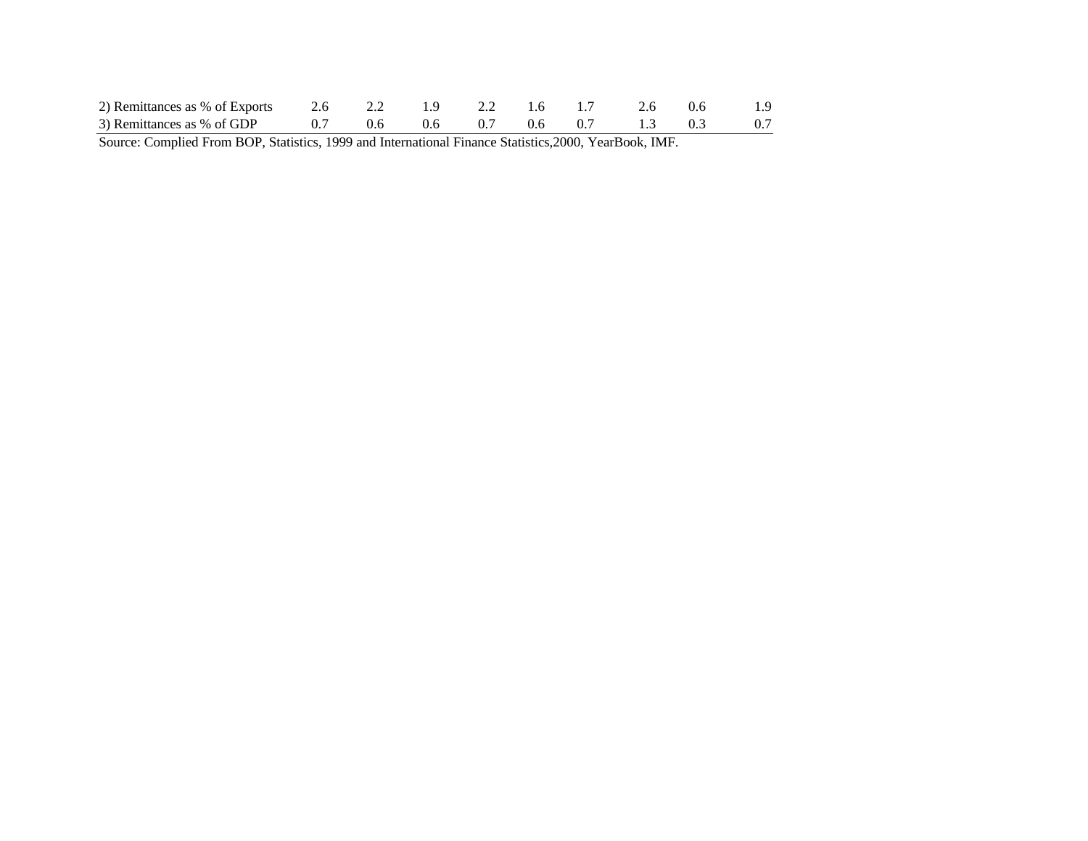| 2) Remittances as % of Exports 2.6 2.2 1.9 2.2 1.6 1.7 2.6 0.6 1.9<br>3) Remittances as % of GDP 0.7 0.6 0.6 0.7 0.6 0.7 1.3 0.3 0.7 |  |  |  |  |  |
|--------------------------------------------------------------------------------------------------------------------------------------|--|--|--|--|--|
|                                                                                                                                      |  |  |  |  |  |

Source: Complied From BOP, Statistics, 1999 and International Finance Statistics,2000, YearBook, IMF.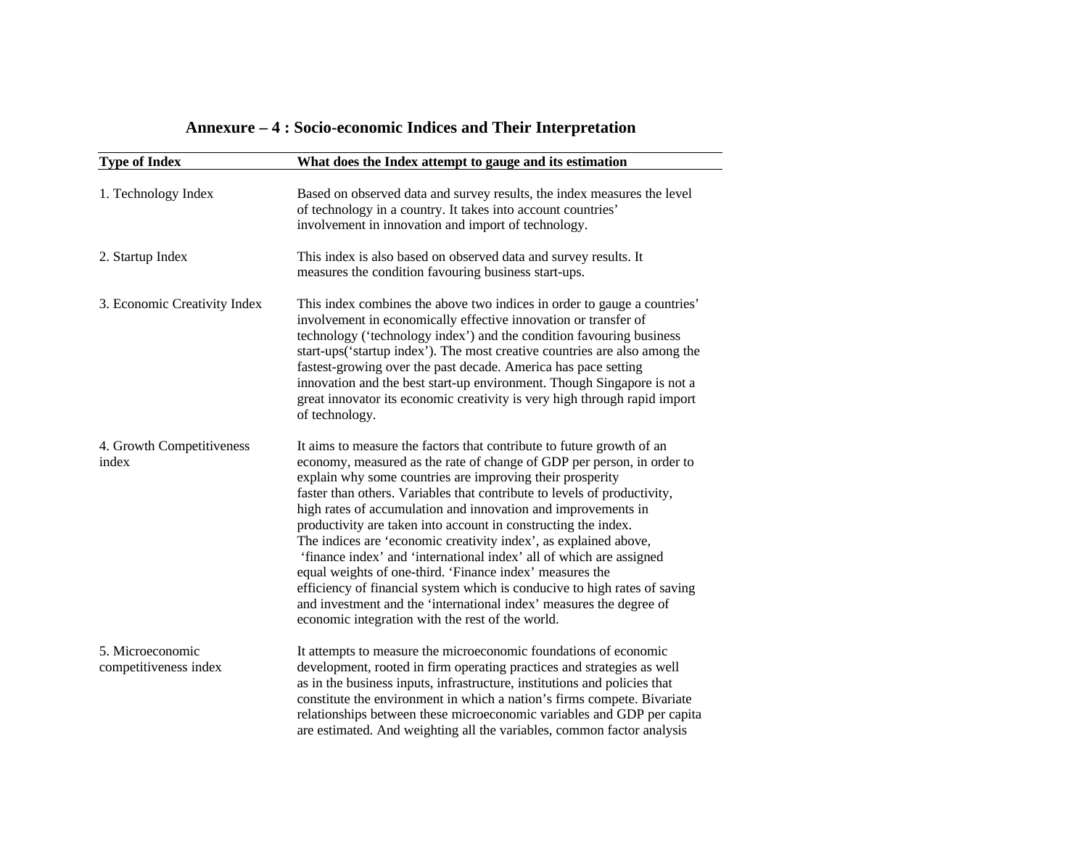| Annexure – 4 : Socio-economic Indices and Their Interpretation |  |  |  |
|----------------------------------------------------------------|--|--|--|
|----------------------------------------------------------------|--|--|--|

| <b>Type of Index</b>                      | What does the Index attempt to gauge and its estimation                                                                                                                                                                                                                                                                                                                                                                                                                                                                                                                                                                                                                                                                                                                                                                                    |
|-------------------------------------------|--------------------------------------------------------------------------------------------------------------------------------------------------------------------------------------------------------------------------------------------------------------------------------------------------------------------------------------------------------------------------------------------------------------------------------------------------------------------------------------------------------------------------------------------------------------------------------------------------------------------------------------------------------------------------------------------------------------------------------------------------------------------------------------------------------------------------------------------|
| 1. Technology Index                       | Based on observed data and survey results, the index measures the level<br>of technology in a country. It takes into account countries'<br>involvement in innovation and import of technology.                                                                                                                                                                                                                                                                                                                                                                                                                                                                                                                                                                                                                                             |
| 2. Startup Index                          | This index is also based on observed data and survey results. It<br>measures the condition favouring business start-ups.                                                                                                                                                                                                                                                                                                                                                                                                                                                                                                                                                                                                                                                                                                                   |
| 3. Economic Creativity Index              | This index combines the above two indices in order to gauge a countries'<br>involvement in economically effective innovation or transfer of<br>technology ('technology index') and the condition favouring business<br>start-ups('startup index'). The most creative countries are also among the<br>fastest-growing over the past decade. America has pace setting<br>innovation and the best start-up environment. Though Singapore is not a<br>great innovator its economic creativity is very high through rapid import<br>of technology.                                                                                                                                                                                                                                                                                              |
| 4. Growth Competitiveness<br>index        | It aims to measure the factors that contribute to future growth of an<br>economy, measured as the rate of change of GDP per person, in order to<br>explain why some countries are improving their prosperity<br>faster than others. Variables that contribute to levels of productivity,<br>high rates of accumulation and innovation and improvements in<br>productivity are taken into account in constructing the index.<br>The indices are 'economic creativity index', as explained above,<br>'finance index' and 'international index' all of which are assigned<br>equal weights of one-third. 'Finance index' measures the<br>efficiency of financial system which is conducive to high rates of saving<br>and investment and the 'international index' measures the degree of<br>economic integration with the rest of the world. |
| 5. Microeconomic<br>competitiveness index | It attempts to measure the microeconomic foundations of economic<br>development, rooted in firm operating practices and strategies as well<br>as in the business inputs, infrastructure, institutions and policies that<br>constitute the environment in which a nation's firms compete. Bivariate<br>relationships between these microeconomic variables and GDP per capita<br>are estimated. And weighting all the variables, common factor analysis                                                                                                                                                                                                                                                                                                                                                                                     |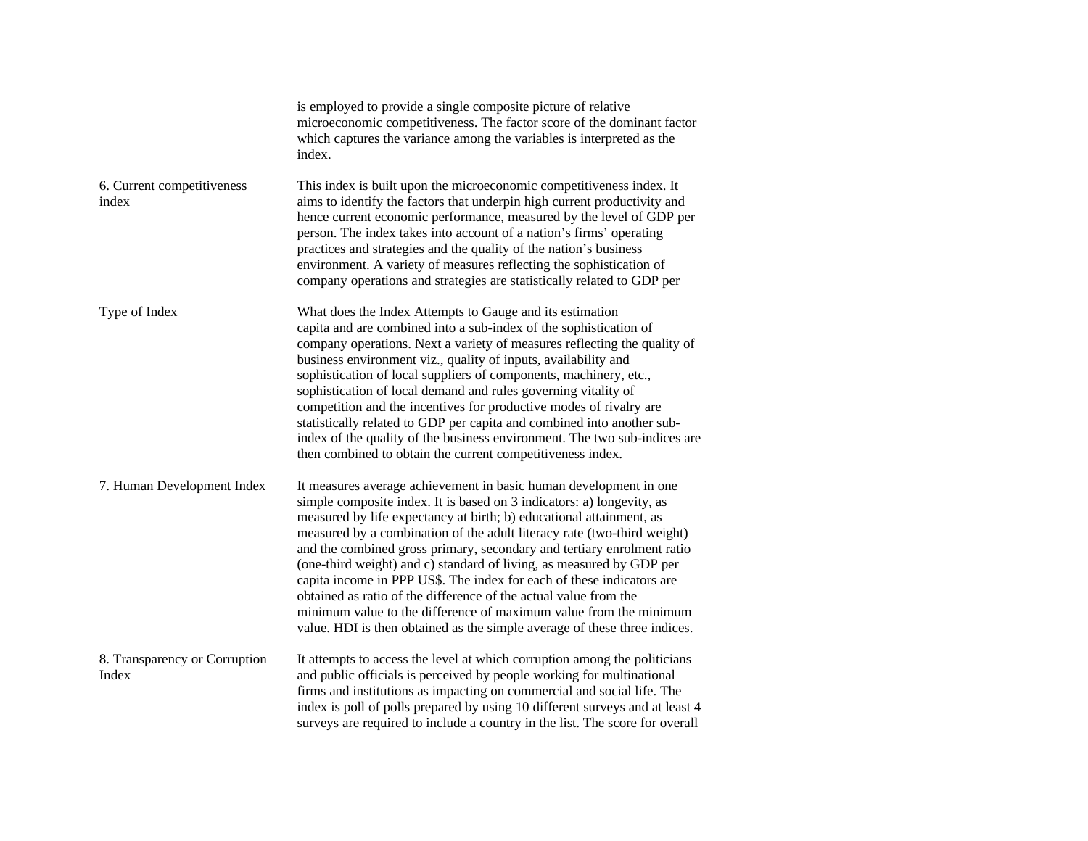|                                        | is employed to provide a single composite picture of relative<br>microeconomic competitiveness. The factor score of the dominant factor<br>which captures the variance among the variables is interpreted as the<br>index.                                                                                                                                                                                                                                                                                                                                                                                                                                                                                                                    |
|----------------------------------------|-----------------------------------------------------------------------------------------------------------------------------------------------------------------------------------------------------------------------------------------------------------------------------------------------------------------------------------------------------------------------------------------------------------------------------------------------------------------------------------------------------------------------------------------------------------------------------------------------------------------------------------------------------------------------------------------------------------------------------------------------|
| 6. Current competitiveness<br>index    | This index is built upon the microeconomic competitiveness index. It<br>aims to identify the factors that underpin high current productivity and<br>hence current economic performance, measured by the level of GDP per<br>person. The index takes into account of a nation's firms' operating<br>practices and strategies and the quality of the nation's business<br>environment. A variety of measures reflecting the sophistication of<br>company operations and strategies are statistically related to GDP per                                                                                                                                                                                                                         |
| Type of Index                          | What does the Index Attempts to Gauge and its estimation<br>capita and are combined into a sub-index of the sophistication of<br>company operations. Next a variety of measures reflecting the quality of<br>business environment viz., quality of inputs, availability and<br>sophistication of local suppliers of components, machinery, etc.,<br>sophistication of local demand and rules governing vitality of<br>competition and the incentives for productive modes of rivalry are<br>statistically related to GDP per capita and combined into another sub-<br>index of the quality of the business environment. The two sub-indices are<br>then combined to obtain the current competitiveness index.                                 |
| 7. Human Development Index             | It measures average achievement in basic human development in one<br>simple composite index. It is based on 3 indicators: a) longevity, as<br>measured by life expectancy at birth; b) educational attainment, as<br>measured by a combination of the adult literacy rate (two-third weight)<br>and the combined gross primary, secondary and tertiary enrolment ratio<br>(one-third weight) and c) standard of living, as measured by GDP per<br>capita income in PPP US\$. The index for each of these indicators are<br>obtained as ratio of the difference of the actual value from the<br>minimum value to the difference of maximum value from the minimum<br>value. HDI is then obtained as the simple average of these three indices. |
| 8. Transparency or Corruption<br>Index | It attempts to access the level at which corruption among the politicians<br>and public officials is perceived by people working for multinational<br>firms and institutions as impacting on commercial and social life. The<br>index is poll of polls prepared by using 10 different surveys and at least 4<br>surveys are required to include a country in the list. The score for overall                                                                                                                                                                                                                                                                                                                                                  |